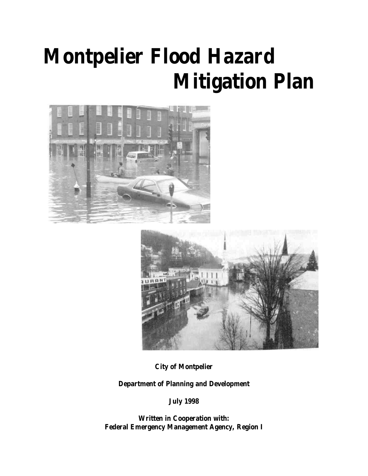# **Montpelier Flood Hazard Mitigation Plan**





**City of Montpelier**

**Department of Planning and Development**

**July 1998**

**Written in Cooperation with: Federal Emergency Management Agency, Region I**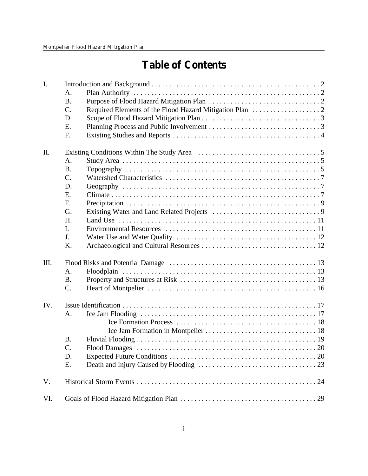# **Table of Contents**

| I.  |                 |  |
|-----|-----------------|--|
|     | A.              |  |
|     | <b>B.</b>       |  |
|     | C.              |  |
|     | D.              |  |
|     | E.              |  |
|     | F.              |  |
| Π.  |                 |  |
|     | A.              |  |
|     | <b>B.</b>       |  |
|     | $\mathcal{C}$ . |  |
|     | D.              |  |
|     | E.              |  |
|     | F.              |  |
|     | G.              |  |
|     | H.              |  |
|     | I.              |  |
|     | J.              |  |
|     | K.              |  |
| Ш.  |                 |  |
|     | A.              |  |
|     | <b>B.</b>       |  |
|     | $C$ .           |  |
| IV. |                 |  |
|     | $A_{\cdot}$     |  |
|     |                 |  |
|     |                 |  |
|     | <b>B.</b>       |  |
|     | C.              |  |
|     | D.              |  |
|     | E.              |  |
| V.  |                 |  |
| VI. |                 |  |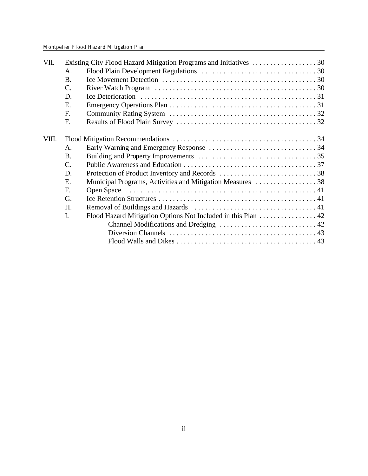| VII.  |                 |                                                              |  |
|-------|-----------------|--------------------------------------------------------------|--|
|       | A.              |                                                              |  |
|       | <b>B.</b>       |                                                              |  |
|       | $\mathcal{C}$ . |                                                              |  |
|       | D.              |                                                              |  |
|       | E.              |                                                              |  |
|       | F.              |                                                              |  |
|       | F.              |                                                              |  |
| VIII. |                 |                                                              |  |
|       | $\mathsf{A}$ .  |                                                              |  |
|       | <b>B.</b>       |                                                              |  |
|       | $\mathbf{C}$ .  |                                                              |  |
|       | D.              |                                                              |  |
|       | E.              | Municipal Programs, Activities and Mitigation Measures  38   |  |
|       | F.              |                                                              |  |
|       | G.              |                                                              |  |
|       | H.              |                                                              |  |
|       | $\mathbf{I}$ .  | Flood Hazard Mitigation Options Not Included in this Plan 42 |  |
|       |                 |                                                              |  |
|       |                 |                                                              |  |
|       |                 |                                                              |  |
|       |                 |                                                              |  |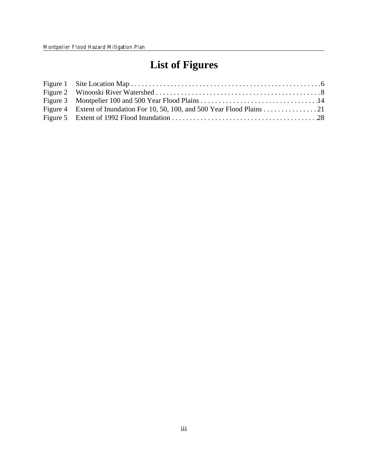# **List of Figures**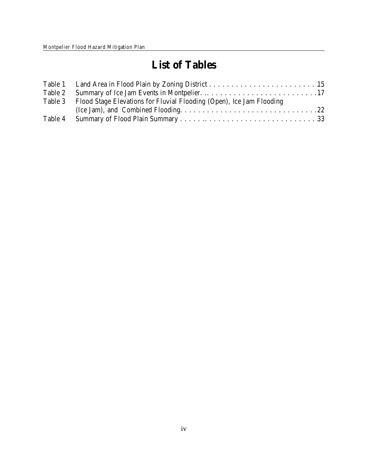# **List of Tables**

| Table 3 Flood Stage Elevations for Fluvial Flooding (Open), Ice Jam Flooding |  |
|------------------------------------------------------------------------------|--|
|                                                                              |  |
|                                                                              |  |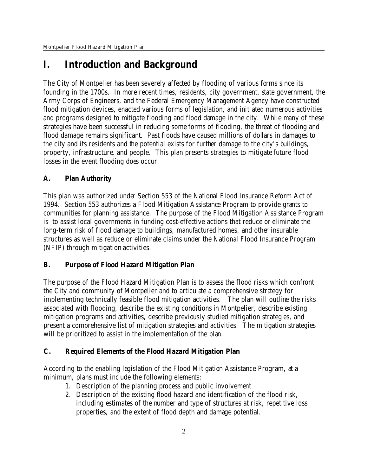# **I. Introduction and Background**

The City of Montpelier has been severely affected by flooding of various forms since its founding in the 1700s. In more recent times, residents, city government, state government, the Army Corps of Engineers, and the Federal Emergency Management Agency have constructed flood mitigation devices, enacted various forms of legislation, and initiated numerous activities and programs designed to mitigate flooding and flood damage in the city. While many of these strategies have been successful in reducing some forms of flooding, the threat of flooding and flood damage remains significant. Past floods have caused millions of dollars in damages to the city and its residents and the potential exists for further damage to the city's buildings, property, infrastructure, and people. This plan presents strategies to mitigate future flood losses in the event flooding does occur.

# **A. Plan Authority**

This plan was authorized under Section 553 of the National Flood Insurance Reform Act of 1994. Section 553 authorizes a Flood Mitigation Assistance Program to provide grants to communities for planning assistance. The purpose of the Flood Mitigation Assistance Program is to assist local governments in funding cost-effective actions that reduce or eliminate the long-term risk of flood damage to buildings, manufactured homes, and other insurable structures as well as reduce or eliminate claims under the National Flood Insurance Program (NFIP) through mitigation activities.

**B. Purpose of Flood Hazard Mitigation Plan**

The purpose of the Flood Hazard Mitigation Plan is to assess the flood risks which confront the City and community of Montpelier and to articulate a comprehensive strategy for implementing technically feasible flood mitigation activities. The plan will outline the risks associated with flooding, describe the existing conditions in Montpelier, describe existing mitigation programs and activities, describe previously studied mitigation strategies, and present a comprehensive list of mitigation strategies and activities. The mitigation strategies will be prioritized to assist in the implementation of the plan.

# **C. Required Elements of the Flood Hazard Mitigation Plan**

According to the enabling legislation of the Flood Mitigation Assistance Program, at a minimum, plans must include the following elements:

- 1. Description of the planning process and public involvement
- 2. Description of the existing flood hazard and identification of the flood risk, including estimates of the number and type of structures at risk, repetitive loss properties, and the extent of flood depth and damage potential.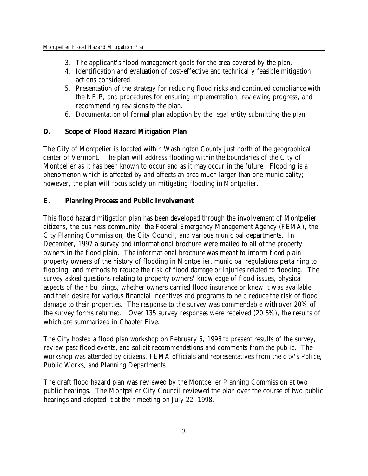- 3. The applicant's flood management goals for the area covered by the plan.
- 4. Identification and evaluation of cost-effective and technically feasible mitigation actions considered.
- 5. Presentation of the strategy for reducing flood risks and continued compliance with the NFIP, and procedures for ensuring implementation, reviewing progress, and recommending revisions to the plan.
- 6. Documentation of formal plan adoption by the legal entity submitting the plan.
- **D. Scope of Flood Hazard Mitigation Plan**

The City of Montpelier is located within Washington County just north of the geographical center of Vermont. The plan will address flooding within the boundaries of the City of Montpelier as it has been known to occur and as it may occur in the future. Flooding is a phenomenon which is affected by and affects an area much larger than one municipality; however, the plan will focus solely on mitigating flooding in Montpelier.

**E. Planning Process and Public Involvement**

This flood hazard mitigation plan has been developed through the involvement of Montpelier citizens, the business community, the Federal Emergency Management Agency (FEMA), the City Planning Commission, the City Council, and various municipal departments. In December, 1997 a survey and informational brochure were mailed to all of the property owners in the flood plain. The informational brochure was meant to inform flood plain property owners of the history of flooding in Montpelier, municipal regulations pertaining to flooding, and methods to reduce the risk of flood damage or injuries related to flooding. The survey asked questions relating to property owners' knowledge of flood issues, physical aspects of their buildings, whether owners carried flood insurance or knew it was available, and their desire for various financial incentives and programs to help reduce the risk of flood damage to their properties. The response to the survey was commendable with over 20% of the survey forms returned. Over 135 survey responses were received (20.5%), the results of which are summarized in Chapter Five.

The City hosted a flood plan workshop on February 5, 1998 to present results of the survey, review past flood events, and solicit recommendations and comments from the public. The workshop was attended by citizens, FEMA officials and representatives from the city's Police, Public Works, and Planning Departments.

The draft flood hazard plan was reviewed by the Montpelier Planning Commission at two public hearings. The Montpelier City Council reviewed the plan over the course of two public hearings and adopted it at their meeting on July 22, 1998.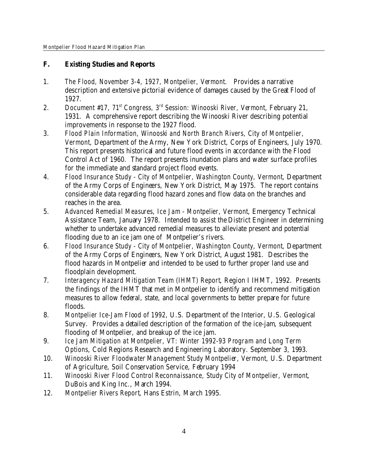- **F. Existing Studies and Reports**
- 1. *The Flood, November 3-4, 1927, Montpelier, Vermont*. Provides a narrative description and extensive pictorial evidence of damages caused by the Great Flood of 1927.
- 2. *Document #17, 71st Congress, 3rd Session: Winooski River, Vermont*, February 21, 1931. A comprehensive report describing the Winooski River describing potential improvements in response to the 1927 flood.
- 3. *Flood Plain Information, Winooski and North Branch Rivers, City of Montpelier, Vermont*, Department of the Army, New York District, Corps of Engineers, July 1970. This report presents historical and future flood events in accordance with the Flood Control Act of 1960. The report presents inundation plans and water surface profiles for the immediate and standard project flood events.
- 4. *Flood Insurance Study City of Montpelier, Washington County, Vermont*, Department of the Army Corps of Engineers, New York District, May 1975. The report contains considerable data regarding flood hazard zones and flow data on the branches and reaches in the area.
- 5. *Advanced Remedial Measures, Ice Jam Montpelier, Vermont*, Emergency Technical Assistance Team, January 1978. Intended to assist the District Engineer in determining whether to undertake advanced remedial measures to alleviate present and potential flooding due to an ice jam one of Montpelier's rivers.
- 6. *Flood Insurance Study City of Montpelier, Washington County, Vermont*, Department of the Army Corps of Engineers, New York District, August 1981. Describes the flood hazards in Montpelier and intended to be used to further proper land use and floodplain development.
- 7. *Interagency Hazard Mitigation Team (IHMT) Report*, Region I IHMT, 1992. Presents the findings of the IHMT that met in Montpelier to identify and recommend mitigation measures to allow federal, state, and local governments to better prepare for future floods.
- 8. *Montpelier Ice-Jam Flood of 1992*, U.S. Department of the Interior, U.S. Geological Survey. Provides a detailed description of the formation of the ice-jam, subsequent flooding of Montpelier, and breakup of the ice jam.
- 9. *Ice Jam Mitigation at Montpelier, VT: Winter 1992-93 Program and Long Term Options*, Cold Regions Research and Engineering Laboratory. September 3, 1993.
- 10. *Winooski River Floodwater Management Study Montpelier, Vermont*, U.S. Department of Agriculture, Soil Conservation Service, February 1994
- 11. *Winooski River Flood Control Reconnaissance, Study City of Montpelier, Vermont*, DuBois and King Inc., March 1994.
- 12. *Montpelier Rivers Report*, Hans Estrin, March 1995.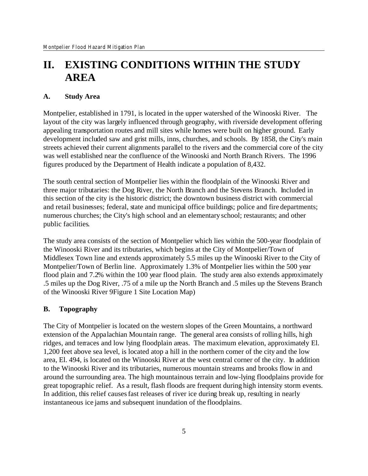# **II. EXISTING CONDITIONS WITHIN THE STUDY AREA**

#### **A. Study Area**

Montpelier, established in 1791, is located in the upper watershed of the Winooski River. The layout of the city was largely influenced through geography, with riverside development offering appealing transportation routes and mill sites while homes were built on higher ground. Early development included saw and grist mills, inns, churches, and schools. By 1858, the City's main streets achieved their current alignments parallel to the rivers and the commercial core of the city was well established near the confluence of the Winooski and North Branch Rivers. The 1996 figures produced by the Department of Health indicate a population of 8,432.

The south central section of Montpelier lies within the floodplain of the Winooski River and three major tributaries: the Dog River, the North Branch and the Stevens Branch. Included in this section of the city is the historic district; the downtown business district with commercial and retail businesses; federal, state and municipal office buildings; police and fire departments; numerous churches; the City's high school and an elementary school; restaurants; and other public facilities.

The study area consists of the section of Montpelier which lies within the 500-year floodplain of the Winooski River and its tributaries, which begins at the City of Montpelier/Town of Middlesex Town line and extends approximately 5.5 miles up the Winooski River to the City of Montpelier/Town of Berlin line. Approximately 1.3% of Montpelier lies within the 500 year flood plain and 7.2% within the 100 year flood plain. The study area also extends approximately .5 miles up the Dog River, .75 of a mile up the North Branch and .5 miles up the Stevens Branch of the Winooski River 9Figure 1 Site Location Map)

#### **B. Topography**

The City of Montpelier is located on the western slopes of the Green Mountains, a northward extension of the Appalachian Mountain range. The general area consists of rolling hills, high ridges, and terraces and low lying floodplain areas. The maximum elevation, approximately El. 1,200 feet above sea level, is located atop a hill in the northern comer of the city and the low area, El. 494, is located on the Winooski River at the west central corner of the city. In addition to the Winooski River and its tributaries, numerous mountain streams and brooks flow in and around the surrounding area. The high mountainous terrain and low-lying floodplains provide for great topographic relief. As a result, flash floods are frequent during high intensity storm events. In addition, this relief causes fast releases of river ice during break up, resulting in nearly instantaneous ice jams and subsequent inundation of the floodplains.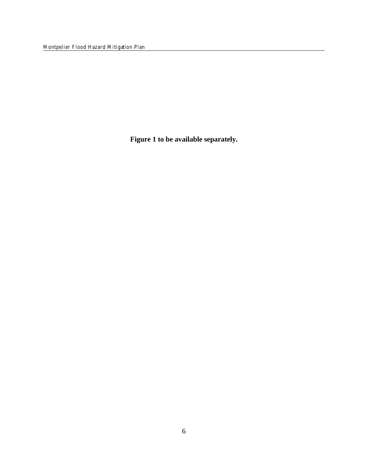Montpelier Flood Hazard Mitigation Plan

**Figure 1 to be available separately.**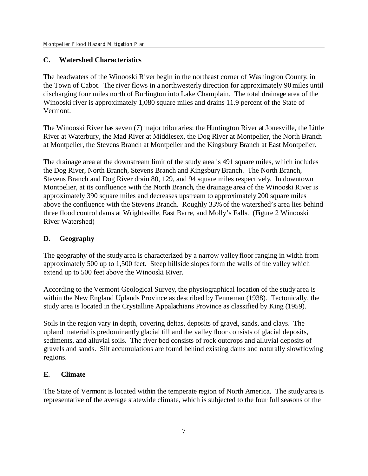# **C. Watershed Characteristics**

The headwaters of the Winooski River begin in the northeast corner of Washington County, in the Town of Cabot. The river flows in a northwesterly direction for approximately 90 miles until discharging four miles north of Burlington into Lake Champlain. The total drainage area of the Winooski river is approximately 1,080 square miles and drains 11.9 percent of the State of Vermont.

The Winooski River has seven (7) major tributaries: the Huntington River at Jonesville, the Little River at Waterbury, the Mad River at Middlesex, the Dog River at Montpelier, the North Branch at Montpelier, the Stevens Branch at Montpelier and the Kingsbury Branch at East Montpelier.

The drainage area at the downstream limit of the study area is 491 square miles, which includes the Dog River, North Branch, Stevens Branch and Kingsbury Branch. The North Branch, Stevens Branch and Dog River drain 80, 129, and 94 square miles respectively. In downtown Montpelier, at its confluence with the North Branch, the drainage area of the Winooski River is approximately 390 square miles and decreases upstream to approximately 200 square miles above the confluence with the Stevens Branch. Roughly 33% of the watershed's area lies behind three flood control dams at Wrightsville, East Barre, and Molly's Falls. (Figure 2 Winooski River Watershed)

# **D. Geography**

The geography of the study area is characterized by a narrow valley floor ranging in width from approximately 500 up to 1,500 feet. Steep hillside slopes form the walls of the valley which extend up to 500 feet above the Winooski River.

According to the Vermont Geological Survey, the physiographical location of the study area is within the New England Uplands Province as described by Fenneman (1938). Tectonically, the study area is located in the Crystalline Appalachians Province as classified by King (1959).

Soils in the region vary in depth, covering deltas, deposits of gravel, sands, and clays. The upland material is predominantly glacial till and the valley floor consists of glacial deposits, sediments, and alluvial soils. The river bed consists of rock outcrops and alluvial deposits of gravels and sands. Silt accumulations are found behind existing dams and naturally slowflowing regions.

# **E***.* **Climate**

The State of Vermont is located within the temperate region of North America. The study area is representative of the average statewide climate, which is subjected to the four full seasons of the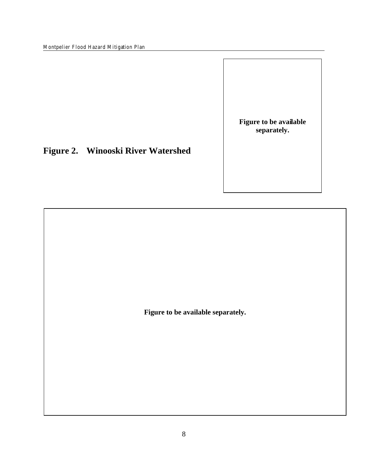Montpelier Flood Hazard Mitigation Plan

**Figure to be available separately.**

**Figure 2. Winooski River Watershed**

**Figure to be available separately.**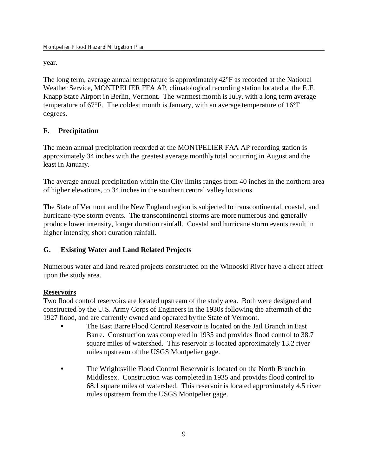year.

The long term, average annual temperature is approximately 42°F as recorded at the National Weather Service, MONTPELIER FFA AP, climatological recording station located at the E.F. Knapp State Airport in Berlin, Vermont. The warmest month is July, with a long term average temperature of 67°F. The coldest month is January, with an average temperature of 16°F degrees.

# **F. Precipitation**

The mean annual precipitation recorded at the MONTPELIER FAA AP recording station is approximately 34 inches with the greatest average monthly total occurring in August and the least in January.

The average annual precipitation within the City limits ranges from 40 inches in the northern area of higher elevations, to 34 inches in the southern central valley locations.

The State of Vermont and the New England region is subjected to transcontinental, coastal, and hurricane-type storm events. The transcontinental storms are more numerous and generally produce lower intensity, longer duration rainfall. Coastal and hurricane storm events result in higher intensity, short duration rainfall.

# **G. Existing Water and Land Related Projects**

Numerous water and land related projects constructed on the Winooski River have a direct affect upon the study area.

# **Reservoirs**

Two flood control reservoirs are located upstream of the study area. Both were designed and constructed by the U.S. Army Corps of Engineers in the 1930s following the aftermath of the 1927 flood, and are currently owned and operated by the State of Vermont.

- The East Barre Flood Control Reservoir is located on the Jail Branch in East Barre. Construction was completed in 1935 and provides flood control to 38.7 square miles of watershed. This reservoir is located approximately 13.2 river miles upstream of the USGS Montpelier gage.
- The Wrightsville Flood Control Reservoir is located on the North Branch in Middlesex. Construction was completed in 1935 and provides flood control to 68.1 square miles of watershed. This reservoir is located approximately 4.5 river miles upstream from the USGS Montpelier gage.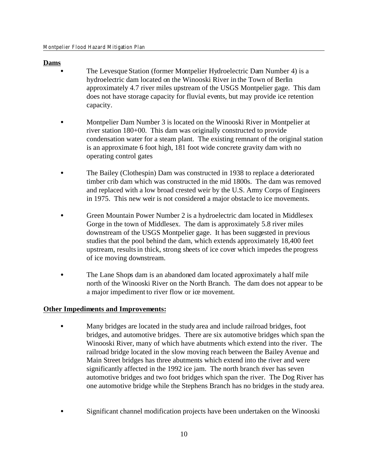### **Dams**

- The Levesque Station (former Montpelier Hydroelectric Dam Number 4) is a hydroelectric dam located on the Winooski River in the Town of Berlin approximately 4.7 river miles upstream of the USGS Montpelier gage. This dam does not have storage capacity for fluvial events, but may provide ice retention capacity.
	- Montpelier Dam Number 3 is located on the Winooski River in Montpelier at river station 180+00. This dam was originally constructed to provide condensation water for a steam plant. The existing remnant of the original station is an approximate 6 foot high, 181 foot wide concrete gravity dam with no operating control gates
	- C The Bailey (Clothespin) Dam was constructed in 1938 to replace a deteriorated timber crib dam which was constructed in the mid 1800s. The dam was removed and replaced with a low broad crested weir by the U.S. Army Corps of Engineers in 1975. This new weir is not considered a major obstacle to ice movements.
	- Green Mountain Power Number 2 is a hydroelectric dam located in Middlesex Gorge in the town of Middlesex. The dam is approximately 5.8 river miles downstream of the USGS Montpelier gage. It has been suggested in previous studies that the pool behind the dam, which extends approximately 18,400 feet upstream, results in thick, strong sheets of ice cover which impedes the progress of ice moving downstream.
	- The Lane Shops dam is an abandoned dam located approximately a half mile north of the Winooski River on the North Branch. The dam does not appear to be a major impediment to river flow or ice movement.

### **Other Impediments and Improvements:**

- Many bridges are located in the study area and include railroad bridges, foot bridges, and automotive bridges. There are six automotive bridges which span the Winooski River, many of which have abutments which extend into the river. The railroad bridge located in the slow moving reach between the Bailey Avenue and Main Street bridges has three abutments which extend into the river and were significantly affected in the 1992 ice jam. The north branch river has seven automotive bridges and two foot bridges which span the river. The Dog River has one automotive bridge while the Stephens Branch has no bridges in the study area.
- Significant channel modification projects have been undertaken on the Winooski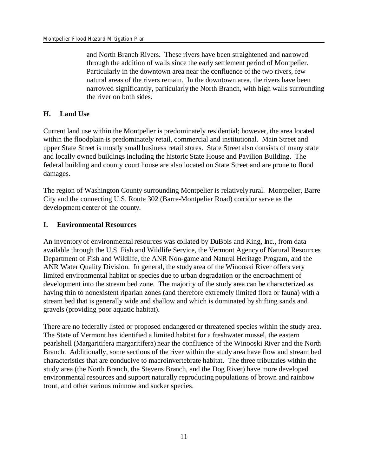and North Branch Rivers. These rivers have been straightened and narrowed through the addition of walls since the early settlement period of Montpelier. Particularly in the downtown area near the confluence of the two rivers, few natural areas of the rivers remain. In the downtown area, the rivers have been narrowed significantly, particularly the North Branch, with high walls surrounding the river on both sides.

### **H. Land Use**

Current land use within the Montpelier is predominately residential; however, the area located within the floodplain is predominately retail, commercial and institutional. Main Street and upper State Street is mostly small business retail stores. State Street also consists of many state and locally owned buildings including the historic State House and Pavilion Building. The federal building and county court house are also located on State Street and are prone to flood damages.

The region of Washington County surrounding Montpelier is relatively rural. Montpelier, Barre City and the connecting U.S. Route 302 (Barre-Montpelier Road) corridor serve as the development center of the county.

### **I. Environmental Resources**

An inventory of environmental resources was collated by DuBois and King, Inc., from data available through the U.S. Fish and Wildlife Service, the Vermont Agency of Natural Resources Department of Fish and Wildlife, the ANR Non-game and Natural Heritage Program, and the ANR Water Quality Division. In general, the study area of the Winooski River offers very limited environmental habitat or species due to urban degradation or the encroachment of development into the stream bed zone. The majority of the study area can be characterized as having thin to nonexistent riparian zones (and therefore extremely limited flora or fauna) with a stream bed that is generally wide and shallow and which is dominated by shifting sands and gravels (providing poor aquatic habitat).

There are no federally listed or proposed endangered or threatened species within the study area. The State of Vermont has identified a limited habitat for a freshwater mussel, the eastern pearlshell (Margaritifera margaritifera) near the confluence of the Winooski River and the North Branch. Additionally, some sections of the river within the study area have flow and stream bed characteristics that are conducive to macroinvertebrate habitat. The three tributaries within the study area (the North Branch, the Stevens Branch, and the Dog River) have more developed environmental resources and support naturally reproducing populations of brown and rainbow trout, and other various minnow and sucker species.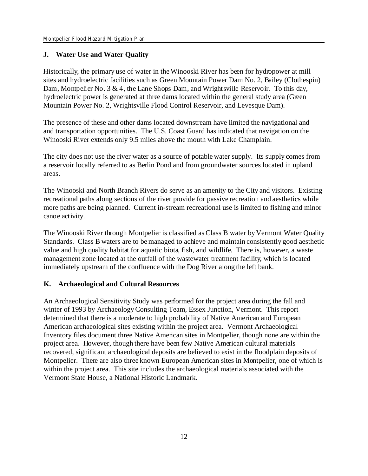### **J. Water Use and Water Quality**

Historically, the primary use of water in the Winooski River has been for hydropower at mill sites and hydroelectric facilities such as Green Mountain Power Dam No. 2, Bailey (Clothespin) Dam, Montpelier No. 3  $\&$  4, the Lane Shops Dam, and Wrightsville Reservoir. To this day, hydroelectric power is generated at three dams located within the general study area (Green Mountain Power No. 2, Wrightsville Flood Control Reservoir, and Levesque Dam).

The presence of these and other dams located downstream have limited the navigational and and transportation opportunities. The U.S. Coast Guard has indicated that navigation on the Winooski River extends only 9.5 miles above the mouth with Lake Champlain.

The city does not use the river water as a source of potable water supply. Its supply comes from a reservoir locally referred to as Berlin Pond and from groundwater sources located in upland areas.

The Winooski and North Branch Rivers do serve as an amenity to the City and visitors. Existing recreational paths along sections of the river provide for passive recreation and aesthetics while more paths are being planned. Current in-stream recreational use is limited to fishing and minor canoe activity.

The Winooski River through Montpelier is classified as Class B water by Vermont Water Quality Standards. Class B waters are to be managed to achieve and maintain consistently good aesthetic value and high quality habitat for aquatic biota, fish, and wildlife. There is, however, a waste management zone located at the outfall of the wastewater treatment facility, which is located immediately upstream of the confluence with the Dog River along the left bank.

### **K. Archaeological and Cultural Resources**

An Archaeological Sensitivity Study was performed for the project area during the fall and winter of 1993 by Archaeology Consulting Team, Essex Junction, Vermont. This report determined that there is a moderate to high probability of Native American and European American archaeological sites existing within the project area. Vermont Archaeological Inventory files document three Native American sites in Montpelier, though none are within the project area. However, though there have been few Native American cultural materials recovered, significant archaeological deposits are believed to exist in the floodplain deposits of Montpelier. There are also three known European American sites in Montpelier, one of which is within the project area. This site includes the archaeological materials associated with the Vermont State House, a National Historic Landmark.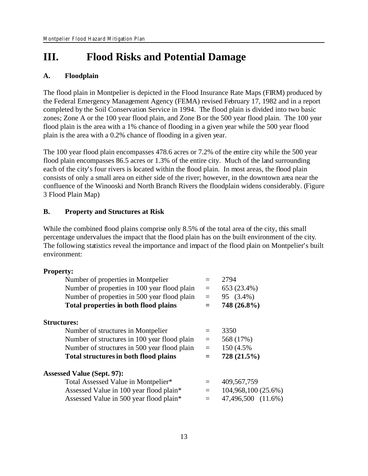# **III. Flood Risks and Potential Damage**

### **A. Floodplain**

The flood plain in Montpelier is depicted in the Flood Insurance Rate Maps (FIRM) produced by the Federal Emergency Management Agency (FEMA) revised February 17, 1982 and in a report completed by the Soil Conservation Service in 1994. The flood plain is divided into two basic zones; Zone A or the 100 year flood plain, and Zone B or the 500 year flood plain. The 100 year flood plain is the area with a 1% chance of flooding in a given year while the 500 year flood plain is the area with a 0.2% chance of flooding in a given year.

The 100 year flood plain encompasses 478.6 acres or 7.2% of the entire city while the 500 year flood plain encompasses 86.5 acres or 1.3% of the entire city. Much of the land surrounding each of the city's four rivers is located within the flood plain. In most areas, the flood plain consists of only a small area on either side of the river; however, in the downtown area near the confluence of the Winooski and North Branch Rivers the floodplain widens considerably. (Figure 3 Flood Plain Map)

### **B. Property and Structures at Risk**

While the combined flood plains comprise only 8.5% of the total area of the city, this small percentage undervalues the impact that the flood plain has on the built environment of the city. The following statistics reveal the importance and impact of the flood plain on Montpelier's built environment:

### **Property:**

| Number of properties in Montpelier           |         | 2794                |
|----------------------------------------------|---------|---------------------|
| Number of properties in 100 year flood plain | $=$     | 653 (23.4%)         |
| Number of properties in 500 year flood plain | $=$     | 95 (3.4%)           |
| Total properties in both flood plains        |         | 748 (26.8%)         |
| <b>Structures:</b>                           |         |                     |
| Number of structures in Montpelier           | $=$     | 3350                |
| Number of structures in 100 year flood plain | $=$     | 568 (17%)           |
| Number of structures in 500 year flood plain | $=$     | 150 (4.5%)          |
| Total structures in both flood plains        | $=$     | 728 (21.5%)         |
| <b>Assessed Value (Sept. 97):</b>            |         |                     |
| Total Assessed Value in Montpelier*          | $=$     | 409,567,759         |
| Assessed Value in 100 year flood plain*      | $=$ $-$ | 104,968,100 (25.6%) |
| Assessed Value in 500 year flood plain*      |         | 47,496,500 (11.6%)  |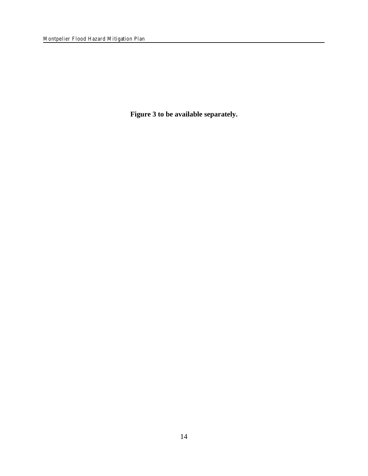**Figure 3 to be available separately.**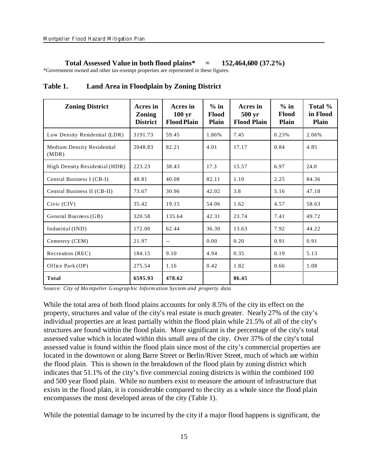#### **Total Assessed Value in both flood plains\* = 152,464,600 (37.2%)**

\*Government owned and other tax-exempt properties are represented in these figures.

| <b>Zoning District</b>              | Acres in<br><b>Zoning</b><br><b>District</b> | Acres in<br>$100 \text{ yr}$<br><b>Flood Plain</b> | $%$ in<br>Flood<br>Plain | Acres in<br>500 yr<br><b>Flood Plain</b> | $%$ in<br>Flood<br>Plain | Total %<br>in Flood<br><b>Plain</b> |
|-------------------------------------|----------------------------------------------|----------------------------------------------------|--------------------------|------------------------------------------|--------------------------|-------------------------------------|
| Low Density Residential (LDR)       | 3191.73                                      | 59.45                                              | 1.86%                    | 7.45                                     | 0.23%                    | 2.06%                               |
| Medium Density Residential<br>(MDR) | 2048.83                                      | 82.21                                              | 4.01                     | 17.17                                    | 0.84                     | 4.85                                |
| High Density Residential (HDR)      | 223.23                                       | 38.43                                              | 17.3                     | 15.57                                    | 6.97                     | 24.0                                |
| Central Business I (CB-I)           | 48.81                                        | 40.08                                              | 82.11                    | 1.10                                     | 2.25                     | 84.36                               |
| Central Business II (CB-II)         | 73.67                                        | 30.96                                              | 42.02                    | 3.8                                      | 5.16                     | 47.18                               |
| Civic (CIV)                         | 35.42                                        | 19.15                                              | 54.06                    | 1.62                                     | 4.57                     | 58.63                               |
| General Business (GB)               | 320.58                                       | 135.64                                             | 42.31                    | 23.74                                    | 7.41                     | 49.72                               |
| Industrial (IND)                    | 172.00                                       | 62.44                                              | 36.30                    | 13.63                                    | 7.92                     | 44.22                               |
| Cemetery (CEM)                      | 21.97                                        | $\overline{\phantom{a}}$ .                         | 0.00                     | 0.20                                     | 0.91                     | 0.91                                |
| Recreation (REC)                    | 184.15                                       | 9.10                                               | 4.94                     | 0.35                                     | 0.19                     | 5.13                                |
| Office Park (OP)                    | 275.54                                       | 1.16                                               | 0.42                     | 1.82                                     | 0.66                     | 1.08                                |
| Total                               | 6595.93                                      | 478.62                                             |                          | 86.45                                    |                          |                                     |

**Table 1. Land Area in Floodplain by Zoning District**

Source: *City of Mo ntpelier G eograp hic Inform ation System and property data*

While the total area of both flood plains accounts for only 8.5% of the city its effect on the property, structures and value of the city's real estate is much greater. Nearly 27% of the city's individual properties are at least partially within the flood plain while 21.5% of all of the city's structures are found within the flood plain. More significant is the percentage of the city's total assessed value which is located within this small area of the city. Over 37% of the city's total assessed value is found within the flood plain since most of the city's commercial properties are located in the downtown or along Barre Street or Berlin/River Street, much of which are within the flood plain. This is shown in the breakdown of the flood plain by zoning district which indicates that 51.1% of the city's five commercial zoning districts is within the combined 100 and 500 year flood plain. While no numbers exist to measure the amount of infrastructure that exists in the flood plain, it is considerable compared to the city as a whole since the flood plain encompasses the most developed areas of the city (Table 1).

While the potential damage to be incurred by the city if a major flood happens is significant, the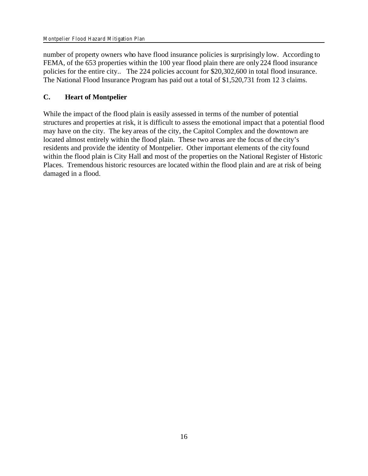number of property owners who have flood insurance policies is surprisingly low. According to FEMA, of the 653 properties within the 100 year flood plain there are only 224 flood insurance policies for the entire city.. The 224 policies account for \$20,302,600 in total flood insurance. The National Flood Insurance Program has paid out a total of \$1,520,731 from 12 3 claims.

# **C. Heart of Montpelier**

While the impact of the flood plain is easily assessed in terms of the number of potential structures and properties at risk, it is difficult to assess the emotional impact that a potential flood may have on the city. The key areas of the city, the Capitol Complex and the downtown are located almost entirely within the flood plain. These two areas are the focus of the city's residents and provide the identity of Montpelier. Other important elements of the city found within the flood plain is City Hall and most of the properties on the National Register of Historic Places. Tremendous historic resources are located within the flood plain and are at risk of being damaged in a flood.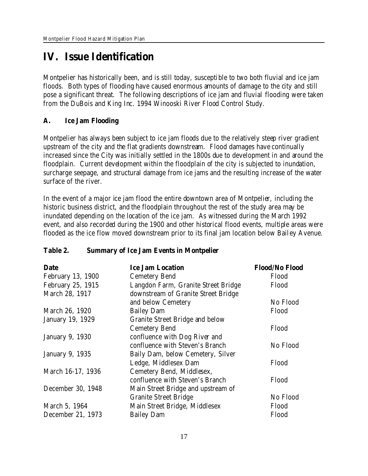# **IV. Issue Identification**

Montpelier has historically been, and is still today, susceptible to two both fluvial and ice jam floods. Both types of flooding have caused enormous amounts of damage to the city and still pose a significant threat. The following descriptions of ice jam and fluvial flooding were taken from the DuBois and King Inc. 1994 Winooski River Flood Control Study.

**A. Ice Jam Flooding**

Montpelier has always been subject to ice jam floods due to the relatively steep river gradient upstream of the city and the flat gradients downstream. Flood damages have continually increased since the City was initially settled in the 1800s due to development in and around the floodplain. Current development within the floodplain of the city is subjected to inundation, surcharge seepage, and structural damage from ice jams and the resulting increase of the water surface of the river.

In the event of a major ice jam flood the entire downtown area of Montpelier, including the historic business district, and the floodplain throughout the rest of the study area may be inundated depending on the location of the ice jam. As witnessed during the March 1992 event, and also recorded during the 1900 and other historical flood events, multiple areas were flooded as the ice flow moved downstream prior to its final jam location below Bailey Avenue.

# **Table 2. Summary of Ice Jam Events in Montpelier**

| Date                     | <b>Ice Jam Location</b>                | Flood/No Flood |
|--------------------------|----------------------------------------|----------------|
| <b>February 13, 1900</b> | <b>Cemetery Bend</b>                   | Flood          |
| February 25, 1915        | Langdon Farm, Granite Street Bridge    | Flood          |
| March 28, 1917           | downstream of Granite Street Bridge    |                |
|                          | and below Cemetery                     | No Flood       |
| March 26, 1920           | <b>Bailey Dam</b>                      | Flood          |
| <b>January 19, 1929</b>  | <b>Granite Street Bridge and below</b> |                |
|                          | <b>Cemetery Bend</b>                   | Flood          |
| <b>January 9, 1930</b>   | confluence with Dog River and          |                |
|                          | confluence with Steven's Branch        | No Flood       |
| <b>January 9, 1935</b>   | Baily Dam, below Cemetery, Silver      |                |
|                          | Ledge, Middlesex Dam                   | Flood          |
| March 16-17, 1936        | Cemetery Bend, Middlesex,              |                |
|                          | confluence with Steven's Branch        | Flood          |
| December 30, 1948        | Main Street Bridge and upstream of     |                |
|                          | <b>Granite Street Bridge</b>           | No Flood       |
| March 5, 1964            | Main Street Bridge, Middlesex          | Flood          |
| December 21, 1973        | <b>Bailey Dam</b>                      | Flood          |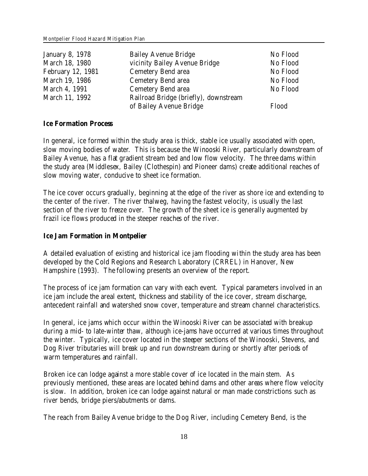| <b>January 8, 1978</b> | <b>Bailey Avenue Bridge</b>           | No Flood |
|------------------------|---------------------------------------|----------|
| March 18, 1980         | vicinity Bailey Avenue Bridge         | No Flood |
| February 12, 1981      | <b>Cemetery Bend area</b>             | No Flood |
| March 19, 1986         | <b>Cemetery Bend area</b>             | No Flood |
| March 4, 1991          | <b>Cemetery Bend area</b>             | No Flood |
| March 11, 1992         | Railroad Bridge (briefly), downstream |          |
|                        | of Bailey Avenue Bridge               | Flood    |

#### **Ice Formation Process**

In general, ice formed within the study area is thick, stable ice usually associated with open, slow moving bodies of water. This is because the Winooski River, particularly downstream of Bailey Avenue, has a flat gradient stream bed and low flow velocity. The three dams within the study area (Middlesex, Bailey (Clothespin) and Pioneer dams) create additional reaches of slow moving water, conducive to sheet ice formation.

The ice cover occurs gradually, beginning at the edge of the river as shore ice and extending to the center of the river. The river thalweg, having the fastest velocity, is usually the last section of the river to freeze over. The growth of the sheet ice is generally augmented by frazil ice flows produced in the steeper reaches of the river.

**Ice Jam Formation in Montpelier**

A detailed evaluation of existing and historical ice jam flooding within the study area has been developed by the Cold Regions and Research Laboratory (CRREL) in Hanover, New Hampshire (1993). The following presents an overview of the report.

The process of ice jam formation can vary with each event. Typical parameters involved in an ice jam include the areal extent, thickness and stability of the ice cover, stream discharge, antecedent rainfall and watershed snow cover, temperature and stream channel characteristics.

In general, ice jams which occur within the Winooski River can be associated with breakup during a mid- to late-winter thaw, although ice-jams have occurred at various times throughout the winter. Typically, ice cover located in the steeper sections of the Winooski, Stevens, and Dog River tributaries will break up and run downstream during or shortly after periods of warm temperatures and rainfall.

Broken ice can lodge against a more stable cover of ice located in the main stem. As previously mentioned, these areas are located behind dams and other areas where flow velocity is slow. In addition, broken ice can lodge against natural or man made constrictions such as river bends, bridge piers/abutments or dams.

The reach from Bailey Avenue bridge to the Dog River, including Cemetery Bend, is the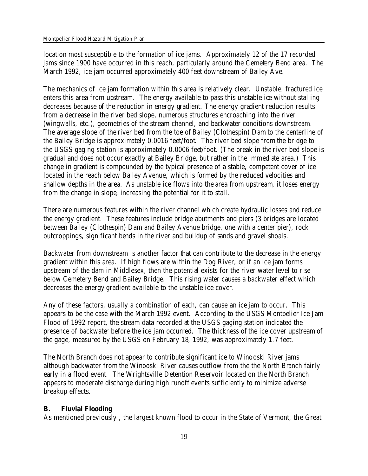location most susceptible to the formation of ice jams. Approximately 12 of the 17 recorded jams since 1900 have occurred in this reach, particularly around the Cemetery Bend area. The March 1992, ice jam occurred approximately 400 feet downstream of Bailey Ave.

The mechanics of ice jam formation within this area is relatively clear. Unstable, fractured ice enters this area from upstream. The energy available to pass this unstable ice without stalling decreases because of the reduction in energy gradient. The energy gradient reduction results from a decrease in the river bed slope, numerous structures encroaching into the river (wingwalls, etc.), geometries of the stream channel, and backwater conditions downstream. The average slope of the river bed from the toe of Bailey (Clothespin) Dam to the centerline of the Bailey Bridge is approximately 0.0016 feet/foot. The river bed slope from the bridge to the USGS gaging station is approximately 0.0006 feet/foot. (The break in the river bed slope is gradual and does not occur exactly at Bailey Bridge, but rather in the immediate area.) This change in gradient is compounded by the typical presence of a stable, competent cover of ice located in the reach below Bailey Avenue, which is formed by the reduced velocities and shallow depths in the area. As unstable ice flows into the area from upstream, it loses energy from the change in slope, increasing the potential for it to stall.

There are numerous features within the river channel which create hydraulic losses and reduce the energy gradient. These features include bridge abutments and piers (3 bridges are located between Bailey (Clothespin) Dam and Bailey Avenue bridge, one with a center pier), rock outcroppings, significant bends in the river and buildup of sands and gravel shoals.

Backwater from downstream is another factor that can contribute to the decrease in the energy gradient within this area. If high flows are within the Dog River, or if an ice jam forms upstream of the dam in Middlesex, then the potential exists for the river water level to rise below Cemetery Bend and Bailey Bridge. This rising water causes a backwater effect which decreases the energy gradient available to the unstable ice cover.

Any of these factors, usually a combination of each, can cause an ice jam to occur. This appears to be the case with the March 1992 event. According to the USGS Montpelier Ice Jam Flood of 1992 report, the stream data recorded at the USGS gaging station indicated the presence of backwater before the ice jam occurred. The thickness of the ice cover upstream of the gage, measured by the USGS on February 18, 1992, was approximately 1.7 feet.

The North Branch does not appear to contribute significant ice to Winooski River jams although backwater from the Winooski River causes outflow from the the North Branch fairly early in a flood event. The Wrightsville Detention Reservoir located on the North Branch appears to moderate discharge during high runoff events sufficiently to minimize adverse breakup effects.

# **B. Fluvial Flooding**

As mentioned previously , the largest known flood to occur in the State of Vermont, the Great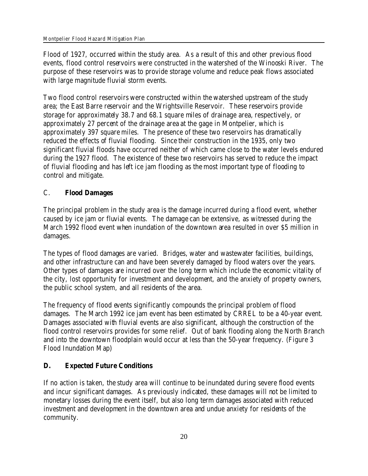Flood of 1927, occurred within the study area. As a result of this and other previous flood events, flood control reservoirs were constructed in the watershed of the Winooski River. The purpose of these reservoirs was to provide storage volume and reduce peak flows associated with large magnitude fluvial storm events.

Two flood control reservoirs were constructed within the watershed upstream of the study area; the East Barre reservoir and the Wrightsville Reservoir. These reservoirs provide storage for approximately 38.7 and 68.1 square miles of drainage area, respectively, or approximately 27 percent of the drainage area at the gage in Montpelier, which is approximately 397 square miles. The presence of these two reservoirs has dramatically reduced the effects of fluvial flooding. Since their construction in the 1935, only two significant fluvial floods have occurred neither of which came close to the water levels endured during the 1927 flood. The existence of these two reservoirs has served to reduce the impact of fluvial flooding and has left ice jam flooding as the most important type of flooding to control and mitigate.

# C. **Flood Damages**

The principal problem in the study area is the damage incurred during a flood event, whether caused by ice jam or fluvial events. The damage can be extensive, as witnessed during the March 1992 flood event when inundation of the downtown area resulted in over \$5 million in damages.

The types of flood damages are varied. Bridges, water and wastewater facilities, buildings, and other infrastructure can and have been severely damaged by flood waters over the years. Other types of damages are incurred over the long term which include the economic vitality of the city, lost opportunity for investment and development, and the anxiety of property owners, the public school system, and all residents of the area.

The frequency of flood events significantly compounds the principal problem of flood damages. The March 1992 ice jam event has been estimated by CRREL to be a 40-year event. Damages associated with fluvial events are also significant, although the construction of the flood control reservoirs provides for some relief. Out of bank flooding along the North Branch and into the downtown floodplain would occur at less than the 50-year frequency. (Figure 3 Flood Inundation Map)

# **D. Expected Future Conditions**

If no action is taken, the study area will continue to be inundated during severe flood events and incur significant damages. As previously indicated, these damages will not be limited to monetary losses during the event itself, but also long term damages associated with reduced investment and development in the downtown area and undue anxiety for residents of the community.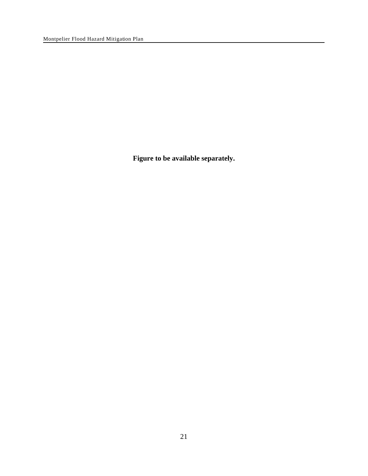**Figure to be available separately.**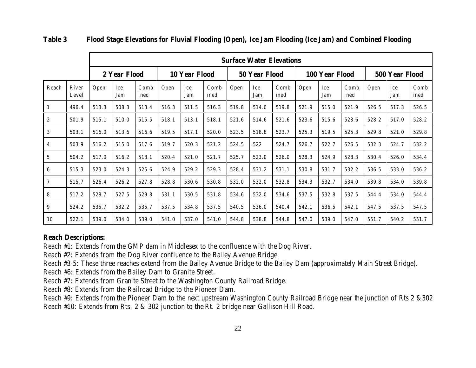|                  |                |       | <b>Surface Water Elevations</b> |              |       |                            |       |       |               |              |       |                |              |                |            |              |
|------------------|----------------|-------|---------------------------------|--------------|-------|----------------------------|-------|-------|---------------|--------------|-------|----------------|--------------|----------------|------------|--------------|
|                  |                |       | 2 Year Flood                    |              |       | 10 Year Flood              |       |       | 50 Year Flood |              |       | 100 Year Flood |              | 500 Year Flood |            |              |
| Reach            | River<br>Level | Open  | Ice<br>Jam                      | Comb<br>ined | Open  | Ice<br>Comb<br>Jam<br>ined |       | Open  | Ice<br>Jam    | Comb<br>ined | Open  | Ice<br>Jam     | Comb<br>ined | Open           | Ice<br>Jam | Comb<br>ined |
| $\vert 1 \vert$  | 496.4          | 513.3 | 508.3                           | 513.4        | 516.3 | 511.5                      | 516.3 | 519.8 | 514.0         | 519.8        | 521.9 | 515.0          | 521.9        | 526.5          | 517.3      | 526.5        |
| $\boldsymbol{2}$ | 501.9          | 515.1 | 510.0                           | 515.5        | 518.1 | 513.1                      | 518.1 | 521.6 | 514.6         | 521.6        | 523.6 | 515.6          | 523.6        | 528.2          | 517.0      | 528.2        |
| 3                | 503.1          | 516.0 | 513.6                           | 516.6        | 519.5 | 517.1                      | 520.0 | 523.5 | 518.8         | 523.7        | 525.3 | 519.5          | 525.3        | 529.8          | 521.0      | 529.8        |
| $\overline{4}$   | 503.9          | 516.2 | 515.0                           | 517.6        | 519.7 | 520.3                      | 521.2 | 524.5 | 522           | 524.7        | 526.7 | 522.7          | 526.5        | 532.3          | 524.7      | 532.2        |
| $5\phantom{.0}$  | 504.2          | 517.0 | 516.2                           | 518.1        | 520.4 | 521.0                      | 521.7 | 525.7 | 523.0         | 526.0        | 528.3 | 524.9          | 528.3        | 530.4          | 526.0      | 534.4        |
| 6                | 515.3          | 523.0 | 524.3                           | 525.6        | 524.9 | 529.2                      | 529.3 | 528.4 | 531.2         | 531.1        | 530.8 | 531.7          | 532.2        | 536.5          | 533.0      | 536.2        |
| $\overline{7}$   | 515.7          | 526.4 | 526.2                           | 527.8        | 528.8 | 530.6                      | 530.8 | 532.0 | 532.0         | 532.8        | 534.3 | 532.7          | 534.0        | 539.8          | 534.0      | 539.8        |
| 8                | 517.2          | 528.7 | 527.5                           | 529.8        | 531.1 | 530.5                      | 531.8 | 534.6 | 532.0         | 534.6        | 537.5 | 532.8          | 537.5        | 544.4          | 534.0      | 544.4        |
| 9                | 524.2          | 535.7 | 532.2                           | 535.7        | 537.5 | 534.8                      | 537.5 | 540.5 | 536.0         | 540.4        | 542.1 | 536.5          | 542.1        | 547.5          | 537.5      | 547.5        |
| 10               | 522.1          | 539.0 | 534.0                           | 539.0        | 541.0 | 537.0                      | 541.0 | 544.8 | 538.8         | 544.8        | 547.0 | 539.0          | 547.0        | 551.7          | 540.2      | 551.7        |

**Table 3 Flood Stage Elevations for Fluvial Flooding (Open), Ice Jam Flooding (Ice Jam) and Combined Flooding**

**Reach Descriptions:**

Reach #1: Extends from the GMP dam in Middlesex to the confluence with the Dog River.

Reach #2: Extends from the Dog River confluence to the Bailey Avenue Bridge.

Reach #3-5: These three reaches extend from the Bailey Avenue Bridge to the Bailey Dam (approximately Main Street Bridge).

Reach #6: Extends from the Bailey Dam to Granite Street.

Reach #7: Extends from Granite Street to the Washington County Railroad Bridge.

Reach #8: Extends from the Railroad Bridge to the Pioneer Dam.

Reach #9: Extends from the Pioneer Dam to the next upstream Washington County Railroad Bridge near the junction of Rts 2 &302 Reach #10: Extends from Rts. 2 & 302 junction to the Rt. 2 bridge near Gallison Hill Road.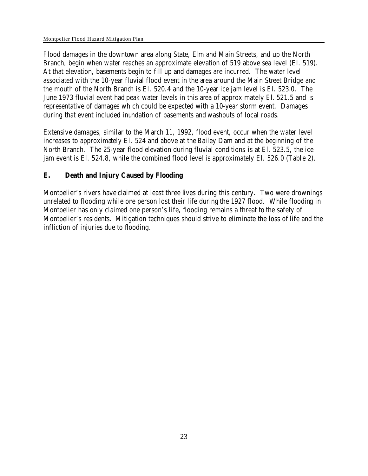Flood damages in the downtown area along State, Elm and Main Streets, and up the North Branch, begin when water reaches an approximate elevation of 519 above sea level (El. 519). At that elevation, basements begin to fill up and damages are incurred. The water level associated with the 10-year fluvial flood event in the area around the Main Street Bridge and the mouth of the North Branch is El. 520.4 and the 10-year ice jam level is El. 523.0. The June 1973 fluvial event had peak water levels in this area of approximately El. 521.5 and is representative of damages which could be expected with a 10-year storm event. Damages during that event included inundation of basements and washouts of local roads.

Extensive damages, similar to the March 11, 1992, flood event, occur when the water level increases to approximately El. 524 and above at the Bailey Dam and at the beginning of the North Branch. The 25-year flood elevation during fluvial conditions is at El. 523.5, the ice jam event is El. 524.8, while the combined flood level is approximately El. 526.0 (Table 2).

### **E. Death and Injury Caused by Flooding**

Montpelier's rivers have claimed at least three lives during this century. Two were drownings unrelated to flooding while one person lost their life during the 1927 flood. While flooding in Montpelier has only claimed one person's life, flooding remains a threat to the safety of Montpelier's residents. Mitigation techniques should strive to eliminate the loss of life and the infliction of injuries due to flooding.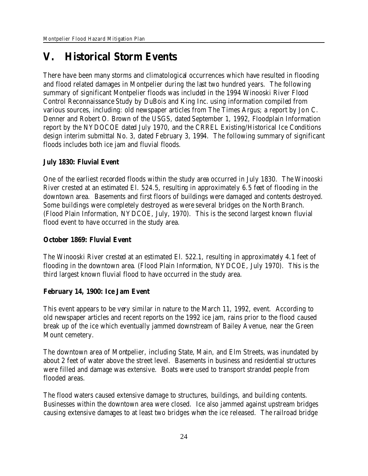# **V. Historical Storm Events**

There have been many storms and climatological occurrences which have resulted in flooding and flood related damages in Montpelier during the last two hundred years. The following summary of significant Montpelier floods was included in the 1994 Winooski River Flood Control Reconnaissance Study by DuBois and King Inc. using information compiled from various sources, including: old newspaper articles from The Times Argus; a report by Jon C. Denner and Robert O. Brown of the USGS, dated September 1, 1992, Floodplain Information report by the NYDOCOE dated July 1970, and the CRREL Existing/Historical Ice Conditions design interim submittal No. 3, dated February 3, 1994. The following summary of significant floods includes both ice jam and fluvial floods.

**July 1830: Fluvial Event**

One of the earliest recorded floods within the study area occurred in July 1830. The Winooski River crested at an estimated El. 524.5, resulting in approximately 6.5 feet of flooding in the downtown area. Basements and first floors of buildings were damaged and contents destroyed. Some buildings were completely destroyed as were several bridges on the North Branch. (Flood Plain Information, NYDCOE, July, 1970). This is the second largest known fluvial flood event to have occurred in the study area.

**October 1869: Fluvial Event**

The Winooski River crested at an estimated El. 522.1, resulting in approximately 4.1 feet of flooding in the downtown area. (Flood Plain Information, NYDCOE, July 1970). This is the third largest known fluvial flood to have occurred in the study area.

**February 14, 1900: Ice Jam Event**

This event appears to be very similar in nature to the March 11, 1992, event. According to old newspaper articles and recent reports on the 1992 ice jam, rains prior to the flood caused break up of the ice which eventually jammed downstream of Bailey Avenue, near the Green Mount cemetery.

The downtown area of Montpelier, including State, Main, and Elm Streets, was inundated by about 2 feet of water above the street level. Basements in business and residential structures were filled and damage was extensive. Boats were used to transport stranded people from flooded areas.

The flood waters caused extensive damage to structures, buildings, and building contents. Businesses within the downtown area were closed. Ice also jammed against upstream bridges causing extensive damages to at least two bridges when the ice released. The railroad bridge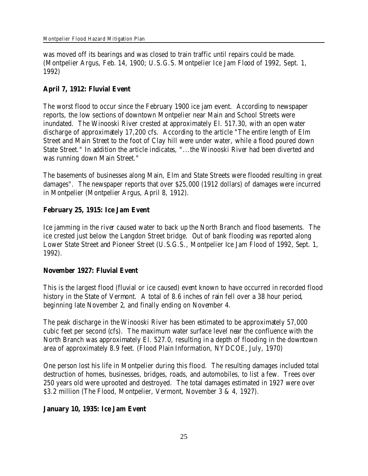was moved off its bearings and was closed to train traffic until repairs could be made. (Montpelier Argus, Feb. 14, 1900; U.S.G.S. Montpelier Ice Jam Flood of 1992, Sept. 1, 1992)

**April 7, 1912: Fluvial Event**

The worst flood to occur since the February 1900 ice jam event. According to newspaper reports, the low sections of downtown Montpelier near Main and School Streets were inundated. The Winooski River crested at approximately El. 517.30, with an open water discharge of approximately 17,200 cfs. According to the article "The entire length of Elm Street and Main Street to the foot of Clay hill were under water, while a flood poured down State Street." In addition the article indicates, "...the Winooski River had been diverted and was running down Main Street."

The basements of businesses along Main, Elm and State Streets were flooded resulting in great damages". The newspaper reports that over \$25,000 (1912 dollars) of damages were incurred in Montpelier (Montpelier Argus, April 8, 1912).

**February 25, 1915: Ice Jam Event**

Ice jamming in the river caused water to back up the North Branch and flood basements. The ice crested just below the Langdon Street bridge. Out of bank flooding was reported along Lower State Street and Pioneer Street (U.S.G.S., Montpelier Ice Jam Flood of 1992, Sept. 1, 1992).

**November 1927: Fluvial Event**

This is the largest flood (fluvial or ice caused) event known to have occurred in recorded flood history in the State of Vermont.A total of 8.6 inches of rain fell over a 38 hour period, beginning late November 2, and finally ending on November 4.

The peak discharge in the Winooski River has been estimated to be approximately 57,000 cubic feet per second (cfs). The maximum water surface level near the confluence with the North Branch was approximately El. 527.0, resulting in a depth of flooding in the downtown area of approximately 8.9 feet. (Flood Plain Information, NYDCOE, July, 1970)

One person lost his life in Montpelier during this flood. The resulting damages included total destruction of homes, businesses, bridges, roads, and automobiles, to list a few. Trees over 250 years old were uprooted and destroyed. The total damages estimated in 1927 were over \$3.2 million (The Flood, Montpelier, Vermont, November 3 & 4, 1927).

**January 10, 1935: Ice Jam Event**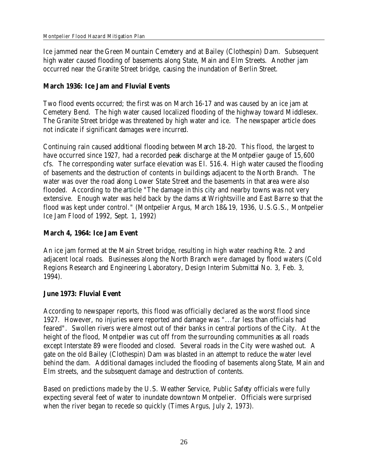Ice jammed near the Green Mountain Cemetery and at Bailey (Clothespin) Dam. Subsequent high water caused flooding of basements along State, Main and Elm Streets. Another jam occurred near the Granite Street bridge, causing the inundation of Berlin Street.

**March 1936: Ice Jam and Fluvial Events**

Two flood events occurred; the first was on March 16-17 and was caused by an ice jam at Cemetery Bend. The high water caused localized flooding of the highway toward Middlesex. The Granite Street bridge was threatened by high water and ice. The newspaper article does not indicate if significant damages were incurred.

Continuing rain caused additional flooding between March 18-20. This flood, the largest to have occurred since 1927, had a recorded peak discharge at the Montpelier gauge of 15,600 cfs. The corresponding water surface elevation was El. 516.4. High water caused the flooding of basements and the destruction of contents in buildings adjacent to the North Branch. The water was over the road along Lower State Street and the basements in that area were also flooded. According to the article "The damage in this city and nearby towns was not very extensive. Enough water was held back by the dams at Wrightsville and East Barre so that the flood was kept under control." (Montpelier Argus, March 18&19, 1936, U.S.G.S., Montpelier Ice Jam Flood of 1992, Sept. 1, 1992)

**March 4, 1964: Ice Jam Event**

An ice jam formed at the Main Street bridge, resulting in high water reaching Rte. 2 and adjacent local roads. Businesses along the North Branch were damaged by flood waters (Cold Regions Research and Engineering Laboratory, Design Interim Submittal No. 3, Feb. 3, 1994).

**June 1973: Fluvial Event**

According to newspaper reports, this flood was officially declared as the worst flood since 1927. However, no injuries were reported and damage was "...far less than officials had feared". Swollen rivers were almost out of their banks in central portions of the City. At the height of the flood, Montpelier was cut off from the surrounding communities as all roads except Interstate 89 were flooded and closed. Several roads in the City were washed out. A gate on the old Bailey (Clothespin) Dam was blasted in an attempt to reduce the water level behind the dam. Additional damages included the flooding of basements along State, Main and Elm streets, and the subsequent damage and destruction of contents.

Based on predictions made by the U.S. Weather Service, Public Safety officials were fully expecting several feet of water to inundate downtown Montpelier. Officials were surprised when the river began to recede so quickly (Times Argus, July 2, 1973).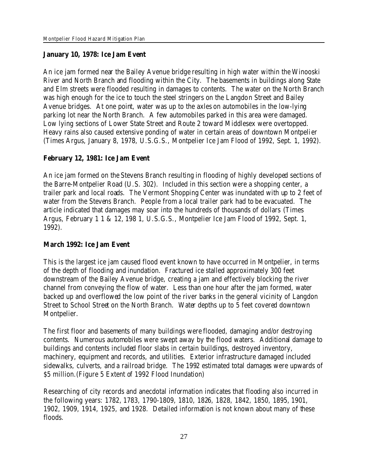### **January 10, 1978: Ice Jam Event**

An ice jam formed near the Bailey Avenue bridge resulting in high water within the Winooski River and North Branch and flooding within the City. The basements in buildings along State and Elm streets were flooded resulting in damages to contents. The water on the North Branch was high enough for the ice to touch the steel stringers on the Langdon Street and Bailey Avenue bridges. At one point, water was up to the axles on automobiles in the low-lying parking lot near the North Branch. A few automobiles parked in this area were damaged. Low lying sections of Lower State Street and Route 2 toward Middlesex were overtopped. Heavy rains also caused extensive ponding of water in certain areas of downtown Montpelier (Times Argus, January 8, 1978, U.S.G.S., Montpelier Ice Jam Flood of 1992, Sept. 1, 1992).

### **February 12, 1981: Ice Jam Event**

An ice jam formed on the Stevens Branch resulting in flooding of highly developed sections of the Barre-Montpelier Road (U.S. 302). Included in this section were a shopping center, a trailer park and local roads. The Vermont Shopping Center was inundated with up to 2 feet of water from the Stevens Branch. People from a local trailer park had to be evacuated. The article indicated that damages may soar into the hundreds of thousands of dollars (Times Argus, February 1 1 & 12, 198 1, U.S.G.S., Montpelier Ice Jam Flood of 1992, Sept. 1, 1992).

**March 1992: Ice Jam Event**

This is the largest ice jam caused flood event known to have occurred in Montpelier, in terms of the depth of flooding and inundation.Fractured ice stalled approximately 300 feet downstream of the Bailey Avenue bridge, creating a jam and effectively blocking the river channel from conveying the flow of water. Less than one hour after the jam formed, water backed up and overflowed the low point of the river banks in the general vicinity of Langdon Street to School Street on the North Branch. Water depths up to 5 feet covered downtown Montpelier.

The first floor and basements of many buildings were flooded, damaging and/or destroying contents. Numerous automobiles were swept away by the flood waters. Additional damage to buildings and contents included floor slabs in certain buildings, destroyed inventory, machinery, equipment and records, and utilities. Exterior infrastructure damaged included sidewalks, culverts, and a railroad bridge. The 1992 estimated total damages were upwards of \$5 million.(Figure 5 Extent of 1992 Flood Inundation)

Researching of city records and anecdotal information indicates that flooding also incurred in the following years: 1782, 1783, 1790-1809, 1810, 1826, 1828, 1842, 1850, 1895, 1901, 1902, 1909, 1914, 1925, and 1928. Detailed information is not known about many of these floods.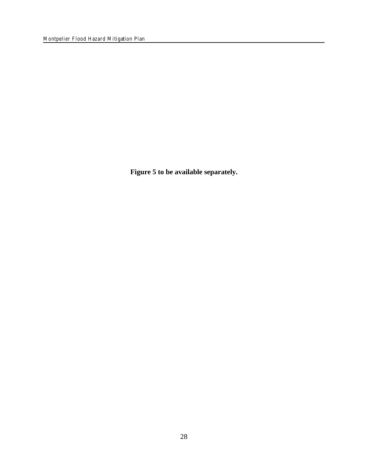**Figure 5 to be available separately.**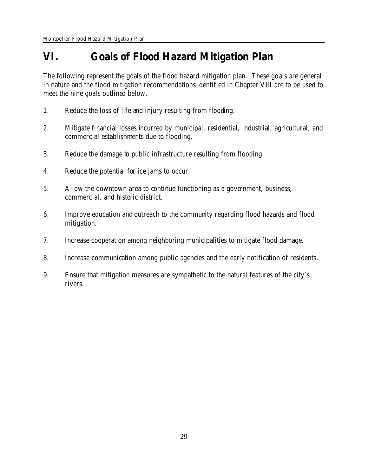# **VI. Goals of Flood Hazard Mitigation Plan**

The following represent the goals of the flood hazard mitigation plan. These goals are general in nature and the flood mitigation recommendations identified in Chapter VIII are to be used to meet the nine goals outlined below.

- 1. Reduce the loss of life and injury resulting from flooding.
- 2. Mitigate financial losses incurred by municipal, residential, industrial, agricultural, and commercial establishments due to flooding.
- 3. Reduce the damage to public infrastructure resulting from flooding.
- 4. Reduce the potential for ice jams to occur.
- 5. Allow the downtown area to continue functioning as a government, business, commercial, and historic district.
- 6. Improve education and outreach to the community regarding flood hazards and flood mitigation.
- 7. Increase cooperation among neighboring municipalities to mitigate flood damage.
- 8. Increase communication among public agencies and the early notification of residents.
- 9. Ensure that mitigation measures are sympathetic to the natural features of the city's rivers.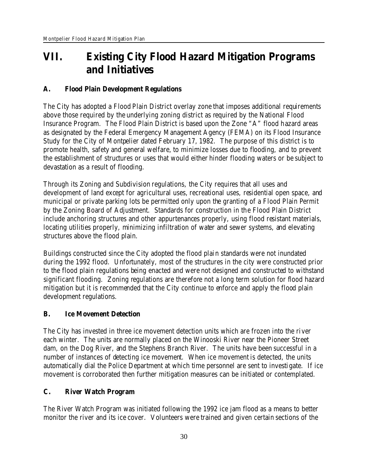# **VII. Existing City Flood Hazard Mitigation Programs and Initiatives**

# **A. Flood Plain Development Regulations**

The City has adopted a Flood Plain District overlay zone that imposes additional requirements above those required by the underlying zoning district as required by the National Flood Insurance Program. The Flood Plain District is based upon the Zone "A" flood hazard areas as designated by the Federal Emergency Management Agency (FEMA) on its Flood Insurance Study for the City of Montpelier dated February 17, 1982. The purpose of this district is to promote health, safety and general welfare, to minimize losses due to flooding, and to prevent the establishment of structures or uses that would either hinder flooding waters or be subject to devastation as a result of flooding.

Through its Zoning and Subdivision regulations, the City requires that all uses and development of land except for agricultural uses, recreational uses, residential open space, and municipal or private parking lots be permitted only upon the granting of a Flood Plain Permit by the Zoning Board of Adjustment. Standards for construction in the Flood Plain District include anchoring structures and other appurtenances properly, using flood resistant materials, locating utilities properly, minimizing infiltration of water and sewer systems, and elevating structures above the flood plain.

Buildings constructed since the City adopted the flood plain standards were not inundated during the 1992 flood. Unfortunately, most of the structures in the city were constructed prior to the flood plain regulations being enacted and were not designed and constructed to withstand significant flooding. Zoning regulations are therefore not a long term solution for flood hazard mitigation but it is recommended that the City continue to enforce and apply the flood plain development regulations.

# **B. Ice Movement Detection**

The City has invested in three ice movement detection units which are frozen into the river each winter. The units are normally placed on the Winooski River near the Pioneer Street dam, on the Dog River, and the Stephens Branch River. The units have been successful in a number of instances of detecting ice movement. When ice movement is detected, the units automatically dial the Police Department at which time personnel are sent to investigate. If ice movement is corroborated then further mitigation measures can be initiated or contemplated.

# **C. River Watch Program**

The River Watch Program was initiated following the 1992 ice jam flood as a means to better monitor the river and its ice cover. Volunteers were trained and given certain sections of the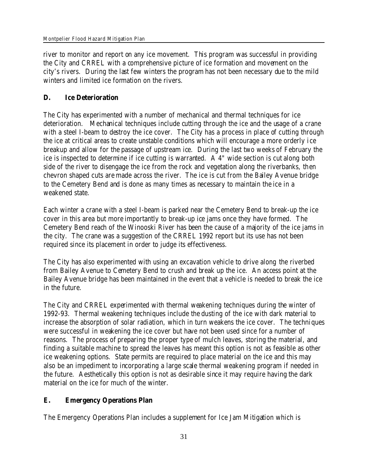river to monitor and report on any ice movement. This program was successful in providing the City and CRREL with a comprehensive picture of ice formation and movement on the city's rivers. During the last few winters the program has not been necessary due to the mild winters and limited ice formation on the rivers.

# **D. Ice Deterioration**

The City has experimented with a number of mechanical and thermal techniques for ice deterioration. Mechanical techniques include cutting through the ice and the usage of a crane with a steel I-beam to destroy the ice cover. The City has a process in place of cutting through the ice at critical areas to create unstable conditions which will encourage a more orderly ice breakup and allow for the passage of upstream ice. During the last two weeks of February the ice is inspected to determine if ice cutting is warranted. A 4" wide section is cut along both side of the river to disengage the ice from the rock and vegetation along the riverbanks, then chevron shaped cuts are made across the river. The ice is cut from the Bailey Avenue bridge to the Cemetery Bend and is done as many times as necessary to maintain the ice in a weakened state.

Each winter a crane with a steel I-beam is parked near the Cemetery Bend to break-up the ice cover in this area but more importantly to break-up ice jams once they have formed. The Cemetery Bend reach of the Winooski River has been the cause of a majority of the ice jams in the city. The crane was a suggestion of the CRREL 1992 report but its use has not been required since its placement in order to judge its effectiveness.

The City has also experimented with using an excavation vehicle to drive along the riverbed from Bailey Avenue to Cemetery Bend to crush and break up the ice. An access point at the Bailey Avenue bridge has been maintained in the event that a vehicle is needed to break the ice in the future.

The City and CRREL experimented with thermal weakening techniques during the winter of 1992-93. Thermal weakening techniques include the dusting of the ice with dark material to increase the absorption of solar radiation, which in turn weakens the ice cover. The techniques were successful in weakening the ice cover but have not been used since for a number of reasons. The process of preparing the proper type of mulch leaves, storing the material, and finding a suitable machine to spread the leaves has meant this option is not as feasible as other ice weakening options. State permits are required to place material on the ice and this may also be an impediment to incorporating a large scale thermal weakening program if needed in the future. Aesthetically this option is not as desirable since it may require having the dark material on the ice for much of the winter.

# **E. Emergency Operations Plan**

The Emergency Operations Plan includes a supplement for Ice Jam Mitigation which is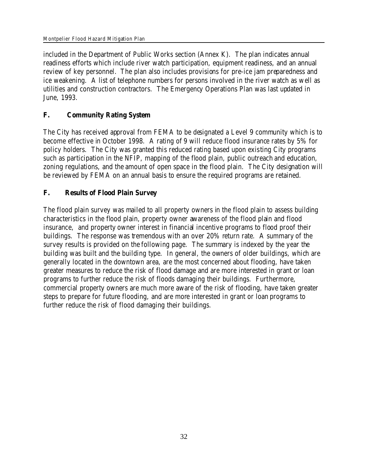included in the Department of Public Works section (Annex K). The plan indicates annual readiness efforts which include river watch participation, equipment readiness, and an annual review of key personnel. The plan also includes provisions for pre-ice jam preparedness and ice weakening. A list of telephone numbers for persons involved in the river watch as well as utilities and construction contractors. The Emergency Operations Plan was last updated in June, 1993.

# **F. Community Rating System**

The City has received approval from FEMA to be designated a Level 9 community which is to become effective in October 1998. A rating of 9 will reduce flood insurance rates by 5% for policy holders. The City was granted this reduced rating based upon existing City programs such as participation in the NFIP, mapping of the flood plain, public outreach and education, zoning regulations, and the amount of open space in the flood plain. The City designation will be reviewed by FEMA on an annual basis to ensure the required programs are retained.

# **F. Results of Flood Plain Survey**

The flood plain survey was mailed to all property owners in the flood plain to assess building characteristics in the flood plain, property owner awareness of the flood plain and flood insurance, and property owner interest in financial incentive programs to flood proof their buildings. The response was tremendous with an over 20% return rate. A summary of the survey results is provided on the following page. The summary is indexed by the year the building was built and the building type. In general, the owners of older buildings, which are generally located in the downtown area, are the most concerned about flooding, have taken greater measures to reduce the risk of flood damage and are more interested in grant or loan programs to further reduce the risk of floods damaging their buildings. Furthermore, commercial property owners are much more aware of the risk of flooding, have taken greater steps to prepare for future flooding, and are more interested in grant or loan programs to further reduce the risk of flood damaging their buildings.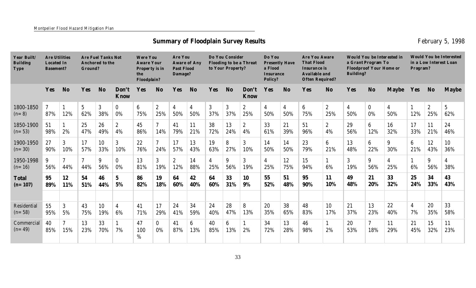# **Summary of Floodplain Survey Results February 5, 1998 February 5, 1998**

| Year Built/<br><b>Building</b><br>Type | <b>Are Utilities</b><br>Are Fuel Tanks Not<br>Located In<br>Anchored to the<br>Ground?<br>Basement? |                |                       | Are You<br>Were You<br><b>Aware Your</b><br>Aware of Any<br>Past Flood<br>Property is in<br>Damage?<br>the<br>Floodplain? |                       |                | Do You Consider<br>Flooding to be a Threat<br>to Your Property? |                     |                       | Do You<br><b>Presently Have</b><br>a Flood<br><b>Insurance</b><br>Policy? |                       | <b>Are You Aware</b><br>That Flood<br>Insurance is<br>Available and<br>Often Required? |                       | Would You be Interested in<br>a Grant Program To<br><b>Floodproof Your Home or</b><br>Building? |           |                        | Would You be Interested<br>in a Low Interest Loan<br>Program? |                        |           |                        |                         |                       |
|----------------------------------------|-----------------------------------------------------------------------------------------------------|----------------|-----------------------|---------------------------------------------------------------------------------------------------------------------------|-----------------------|----------------|-----------------------------------------------------------------|---------------------|-----------------------|---------------------------------------------------------------------------|-----------------------|----------------------------------------------------------------------------------------|-----------------------|-------------------------------------------------------------------------------------------------|-----------|------------------------|---------------------------------------------------------------|------------------------|-----------|------------------------|-------------------------|-----------------------|
|                                        | Yes                                                                                                 | N <sub>o</sub> | Yes                   | <b>No</b>                                                                                                                 | Don't<br>Know         | Yes            | N <sub>o</sub>                                                  | Yes                 | N <sub>o</sub>        | Yes                                                                       | N <sub>o</sub>        | Don't<br>Know                                                                          | Yes                   | N <sub>o</sub>                                                                                  | Yes       | N <sub>o</sub>         | Yes                                                           | N <sub>o</sub>         | Maybe     | Yes                    | N <sub>0</sub>          | Maybe                 |
| 1800-1850<br>$(n=8)$                   | 7<br>87%                                                                                            | 12%            | 5 <sup>5</sup><br>62% | 3<br>38%                                                                                                                  | $\bf{0}$<br>0%        | 6<br>75%       | $\boldsymbol{2}$<br>25%                                         | 4<br>50%            | 4<br>50%              | 3<br>37%                                                                  | 3 <sup>1</sup><br>37% | $\boldsymbol{2}$<br>25%                                                                | $\overline{4}$<br>50% | $\overline{4}$<br>50%                                                                           | 6<br>75%  | $\mathbf{2}$<br>25%    | $\overline{4}$<br>50%                                         | $\bf{0}$<br>0%         | 4<br>50%  | 12%                    | $\boldsymbol{2}$<br>25% | $\overline{5}$<br>62% |
| 1850-1900<br>$(n=53)$                  | 51<br>98%                                                                                           | 2%             | 25<br>47%             | 26<br>49%                                                                                                                 | $\overline{c}$<br>4%  | 45<br>86%      | $\overline{7}$<br>14%                                           | 41<br>79%           | 11<br>21%             | 38<br>72%                                                                 | 13<br>24%             | $\overline{2}$<br>4%                                                                   | 33<br>61%             | 21<br>39%                                                                                       | 51<br>96% | $\mathbf{2}$<br>4%     | 29<br>56%                                                     | $6\phantom{1}$<br>12%  | 16<br>32% | 17<br>33%              | 11<br>21%               | 24<br>46%             |
| 1900-1950<br>$(n=30)$                  | 27<br>90%                                                                                           | 3<br>10%       | 17<br>57%             | 10<br>33%                                                                                                                 | 3<br>10%              | 22<br>76%      | $\overline{\mathcal{U}}$<br>24%                                 | 17<br>57%           | 13<br>43%             | 19<br>63%                                                                 | 8<br>27%              | 3<br>10%                                                                               | 14<br>50%             | 14<br>50%                                                                                       | 23<br>79% | $6\phantom{.}6$<br>21% | 13<br>48%                                                     | $6\phantom{.}6$<br>22% | 9<br>30%  | $6\phantom{.}6$<br>21% | 12<br>43%               | 10<br>36%             |
| 1950-1998<br>$(n=16)$                  | 9<br>56%                                                                                            | 44%            | 7<br>44%              | 9<br>56%                                                                                                                  | $\bf{0}$<br>0%        | 13<br>81%      | 3<br>19%                                                        | $\mathbf{2}$<br>12% | 14<br>88%             | 4<br>25%                                                                  | 9<br>56%              | 3<br>19%                                                                               | $\overline{4}$<br>25% | 12<br>75%                                                                                       | 15<br>94% | 6%                     | 3<br>19%                                                      | 9<br>56%               | 25%       | 6%                     | 9<br>56%                | 38%                   |
| Total<br>$(n=107)$                     | 95<br>89%                                                                                           | 12<br>11%      | 54<br>51%             | 46<br>44%                                                                                                                 | $5\phantom{.0}$<br>5% | 86<br>82%      | 19<br>18%                                                       | 64<br>60%           | 42<br>40%             | 64<br>60%                                                                 | 33<br>31%             | 10<br>9%                                                                               | 55<br>52%             | 51<br>48%                                                                                       | 95<br>90% | 11<br>10%              | 49<br>48%                                                     | 21<br>20%              | 33<br>32% | 25<br>24%              | 34<br>33%               | 43<br>43%             |
|                                        |                                                                                                     |                |                       |                                                                                                                           |                       |                |                                                                 |                     |                       |                                                                           |                       |                                                                                        |                       |                                                                                                 |           |                        |                                                               |                        |           |                        |                         |                       |
| Residential<br>$(n=58)$                | 55<br>95%                                                                                           | 3<br>5%        | 43<br>75%             | 10<br>19%                                                                                                                 | 4<br>6%               | 41<br>71%      | 17<br>29%                                                       | 24<br>41%           | 34<br>59%             | 24<br>40%                                                                 | 28<br>47%             | 8<br>13%                                                                               | 20<br>35%             | 38<br>65%                                                                                       | 48<br>83% | 10<br>17%              | 21<br>37%                                                     | 13<br>23%              | 22<br>40% | $\overline{4}$<br>7%   | 20<br>35%               | 33<br>58%             |
| Commercial<br>$(n=49)$                 | 40<br>85%                                                                                           | 15%            | 13<br>23%             | 33<br>70%                                                                                                                 | 7%                    | 47<br>100<br>% | $\mathbf{0}$<br>0%                                              | 41<br>87%           | $6\phantom{.}$<br>13% | 40<br>85%                                                                 | 6<br>13%              | 2%                                                                                     | 34<br>72%             | 13<br>28%                                                                                       | 46<br>98% | 2%                     | 20<br>53%                                                     | $\overline{7}$<br>18%  | 11<br>29% | 21<br>45%              | 15<br>32%               | 11<br>23%             |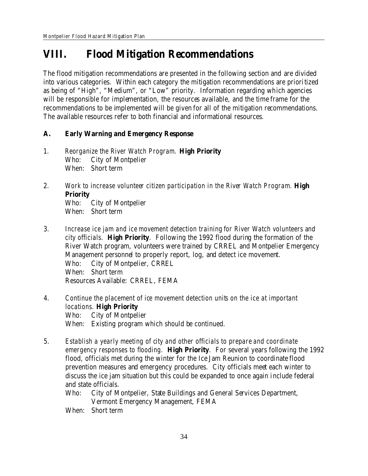# **VIII. Flood Mitigation Recommendations**

The flood mitigation recommendations are presented in the following section and are divided into various categories. Within each category the mitigation recommendations are prioritized as being of "High", "Medium", or "Low" priority. Information regarding which agencies will be responsible for implementation, the resources available, and the time frame for the recommendations to be implemented will be given for all of the mitigation recommendations. The available resources refer to both financial and informational resources.

- **A. Early Warning and Emergency Response**
- 1. *Reorganize the River Watch Program.* **High Priority** Who: City of Montpelier When: Short term
- 2. *Work to increase volunteer citizen participation in the River Watch Program.* **High Priority** Who: City of Montpelier When: Short term
- 3. *Increase ice jam and ice movement detection training for River Watch volunteers and city officials.* **High Priority**. Following the 1992 flood during the formation of the River Watch program, volunteers were trained by CRREL and Montpelier Emergency Management personnel to properly report, log, and detect ice movement. Who: City of Montpelier, CRREL When: Short term Resources Available: CRREL, FEMA
- 4. *Continue the placement of ice movement detection units on the ice at important locations.* **High Priority** Who: City of Montpelier When: Existing program which should be continued.
- 5. *Establish a yearly meeting of city and other officials to prepare and coordinate emergency responses to flooding.* **High Priority**. For several years following the 1992 flood, officials met during the winter for the Ice Jam Reunion to coordinate flood prevention measures and emergency procedures. City officials meet each winter to discuss the ice jam situation but this could be expanded to once again include federal and state officials.
	- Who: City of Montpelier, State Buildings and General Services Department, Vermont Emergency Management, FEMA
	- When: Short term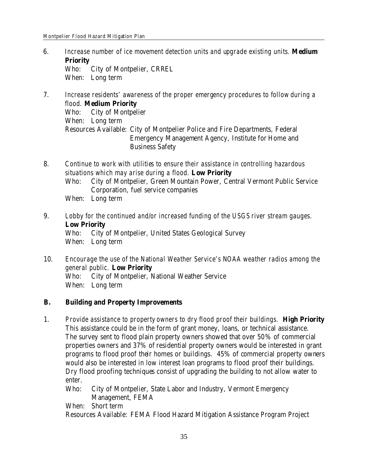- 6. *Increase number of ice movement detection units and upgrade existing units.* **Medium Priority** Who: City of Montpelier, CRREL When: Long term
- 7. *Increase residents' awareness of the proper emergency procedures to follow during a flood.* **Medium Priority** Who: City of Montpelier When: Long term Resources Available: City of Montpelier Police and Fire Departments, Federal Emergency Management Agency, Institute for Home and Business Safety
- 8. *Continue to work with utilities to ensure their assistance in controlling hazardous situations which may arise during a flood.* **Low Priority** Who: City of Montpelier, Green Mountain Power, Central Vermont Public Service Corporation, fuel service companies When: Long term
- 9. *Lobby for the continued and/or increased funding of the USGS river stream gauges.* **Low Priority** Who: City of Montpelier, United States Geological Survey When: Long term
- 10. *Encourage the use of the National Weather Service's NOAA weather radios among the general public.* **Low Priority** Who: City of Montpelier, National Weather Service When: Long term
- **B. Building and Property Improvements**
- 1. *Provide assistance to property owners to dry flood proof their buildings.* **High Priority** This assistance could be in the form of grant money, loans, or technical assistance. The survey sent to flood plain property owners showed that over 50% of commercial properties owners and 37% of residential property owners would be interested in grant programs to flood proof their homes or buildings. 45% of commercial property owners would also be interested in low interest loan programs to flood proof their buildings. Dry flood proofing techniques consist of upgrading the building to not allow water to enter.
	- Who: City of Montpelier, State Labor and Industry, Vermont Emergency Management, FEMA
	- When: Short term

Resources Available: FEMA Flood Hazard Mitigation Assistance Program Project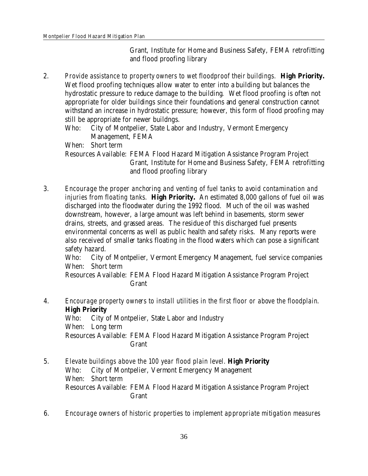Grant, Institute for Home and Business Safety, FEMA retrofitting and flood proofing library

- 2. *Provide assistance to property owners to wet floodproof their buildings.* **High Priority.** Wet flood proofing techniques allow water to enter into a building but balances the hydrostatic pressure to reduce damage to the building. Wet flood proofing is often not appropriate for older buildings since their foundations and general construction cannot withstand an increase in hydrostatic pressure; however, this form of flood proofing may still be appropriate for newer buildngs.
	- Who: City of Montpelier, State Labor and Industry, Vermont Emergency Management, FEMA

When: Short term

Resources Available: FEMA Flood Hazard Mitigation Assistance Program Project Grant, Institute for Home and Business Safety, FEMA retrofitting and flood proofing library

3. *Encourage the proper anchoring and venting of fuel tanks to avoid contamination and injuries from floating tanks.* **High Priority.** An estimated 8,000 gallons of fuel oil was discharged into the floodwater during the 1992 flood. Much of the oil was washed downstream, however, a large amount was left behind in basements, storm sewer drains, streets, and grassed areas. The residue of this discharged fuel presents environmental concerns as well as public health and safety risks. Many reports were also received of smaller tanks floating in the flood waters which can pose a significant safety hazard.

Who: City of Montpelier, Vermont Emergency Management, fuel service companies When: Short term

Resources Available: FEMA Flood Hazard Mitigation Assistance Program Project Grant

- 4. *Encourage property owners to install utilities in the first floor or above the floodplain*. **High Priority** Who: City of Montpelier, State Labor and Industry When: Long term Resources Available: FEMA Flood Hazard Mitigation Assistance Program Project Grant
- 5. *Elevate buildings above the 100 year flood plain level.* **High Priority** Who: City of Montpelier, Vermont Emergency Management When: Short term Resources Available: FEMA Flood Hazard Mitigation Assistance Program Project Grant
- 6. *Encourage owners of historic properties to implement appropriate mitigation measures*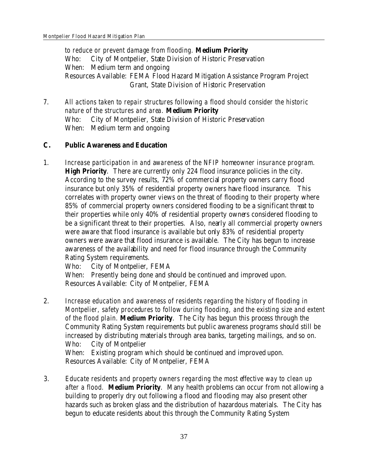*to reduce or prevent damage from flooding.* **Medium Priority** Who: City of Montpelier, State Division of Historic Preservation When: Medium term and ongoing Resources Available: FEMA Flood Hazard Mitigation Assistance Program Project Grant, State Division of Historic Preservation

7. *All actions taken to repair structures following a flood should consider the historic nature of the structures and area.* **Medium Priority** Who: City of Montpelier, State Division of Historic Preservation When: Medium term and ongoing

- **C. Public Awareness and Education**
- 1. *Increase participation in and awareness of the NFIP homeowner insurance program.* **High Priority**. There are currently only 224 flood insurance policies in the city. According to the survey results, 72% of commercial property owners carry flood insurance but only 35% of residential property owners have flood insurance. This correlates with property owner views on the threat of flooding to their property where 85% of commercial property owners considered flooding to be a significant threat to their properties while only 40% of residential property owners considered flooding to be a significant threat to their properties. Also, nearly all commercial property owners were aware that flood insurance is available but only 83% of residential property owners were aware that flood insurance is available. The City has begun to increase awareness of the availability and need for flood insurance through the Community Rating System requirements.

Who: City of Montpelier, FEMA

When: Presently being done and should be continued and improved upon. Resources Available: City of Montpelier, FEMA

2. *Increase education and awareness of residents regarding the history of flooding in Montpelier, safety procedures to follow during flooding, and the existing size and extent of the flood plain.* **Medium Priority**. The City has begun this process through the Community Rating System requirements but public awareness programs should still be increased by distributing materials through area banks, targeting mailings, and so on. Who: City of Montpelier When: Existing program which should be continued and improved upon.

Resources Available: City of Montpelier, FEMA

3. *Educate residents and property owners regarding the most effective way to clean up after a flood.* **Medium Priority**. Many health problems can occur from not allowing a building to properly dry out following a flood and flooding may also present other hazards such as broken glass and the distribution of hazardous materials. The City has begun to educate residents about this through the Community Rating System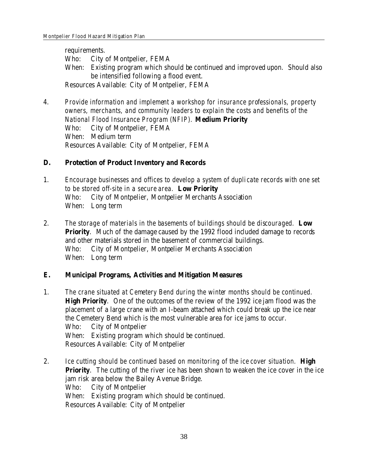requirements. Who: City of Montpelier, FEMA When: Existing program which should be continued and improved upon. Should also be intensified following a flood event. Resources Available: City of Montpelier, FEMA

- 4. *Provide information and implement a workshop for insurance professionals, property owners, merchants, and community leaders to explain the costs and benefits of the National Flood Insurance Program (NFIP).* **Medium Priority** Who: City of Montpelier, FEMA When: Medium term Resources Available: City of Montpelier, FEMA
- **D. Protection of Product Inventory and Records**

1. *Encourage businesses and offices to develop a system of duplicate records with one set to be stored off-site in a secure area.* **Low Priority** Who: City of Montpelier, Montpelier Merchants Association When: Long term

- 2. *The storage of materials in the basements of buildings should be discouraged.* **Low Priority**. Much of the damage caused by the 1992 flood included damage to records and other materials stored in the basement of commercial buildings. Who: City of Montpelier, Montpelier Merchants Association When: Long term
- **E. Municipal Programs, Activities and Mitigation Measures**
- 1. *The crane situated at Cemetery Bend during the winter months should be continued.* **High Priority**. One of the outcomes of the review of the 1992 ice jam flood was the placement of a large crane with an I-beam attached which could break up the ice near the Cemetery Bend which is the most vulnerable area for ice jams to occur. Who: City of Montpelier When: Existing program which should be continued. Resources Available: City of Montpelier
- 2. *Ice cutting should be continued based on monitoring of the ice cover situation.* **High Priority**. The cutting of the river ice has been shown to weaken the ice cover in the ice jam risk area below the Bailey Avenue Bridge. Who: City of Montpelier When: Existing program which should be continued. Resources Available: City of Montpelier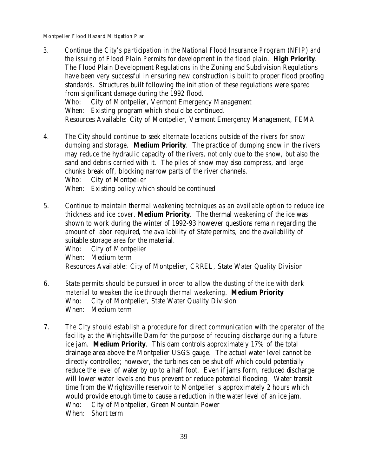- 3. *Continue the City's participation in the National Flood Insurance Program (NFIP) and the issuing of Flood Plain Permits for development in the flood plain.* **High Priority**. The Flood Plain Development Regulations in the Zoning and Subdivision Regulations have been very successful in ensuring new construction is built to proper flood proofing standards. Structures built following the initiation of these regulations were spared from significant damage during the 1992 flood. Who: City of Montpelier, Vermont Emergency Management When: Existing program which should be continued. Resources Available: City of Montpelier, Vermont Emergency Management, FEMA
- 4. *The City should continue to seek alternate locations outside of the rivers for snow dumping and storage.* **Medium Priority**. The practice of dumping snow in the rivers may reduce the hydraulic capacity of the rivers, not only due to the snow, but also the sand and debris carried with it. The piles of snow may also compress, and large chunks break off, blocking narrow parts of the river channels. Who: City of Montpelier When: Existing policy which should be continued
- 5. *Continue to maintain thermal weakening techniques as an available option to reduce ice thickness and ice cover.* **Medium Priority**. The thermal weakening of the ice was shown to work during the winter of 1992-93 however questions remain regarding the amount of labor required, the availability of State permits, and the availability of suitable storage area for the material.

Who: City of Montpelier When: Medium term Resources Available: City of Montpelier, CRREL, State Water Quality Division

- 6. *State permits should be pursued in order to allow the dusting of the ice with dark material to weaken the ice through thermal weakening.* **Medium Priority** Who: City of Montpelier, State Water Quality Division When: Medium term
- 7. *The City should establish a procedure for direct communication with the operator of the facility at the Wrightsville Dam for the purpose of reducing discharge during a future ice jam.* **Medium Priority**. This dam controls approximately 17% of the total drainage area above the Montpelier USGS gauge. The actual water level cannot be directly controlled; however, the turbines can be shut off which could potentially reduce the level of water by up to a half foot. Even if jams form, reduced discharge will lower water levels and thus prevent or reduce potential flooding. Water transit time from the Wrightsville reservoir to Montpelier is approximately 2 hours which would provide enough time to cause a reduction in the water level of an ice jam. Who: City of Montpelier, Green Mountain Power When: Short term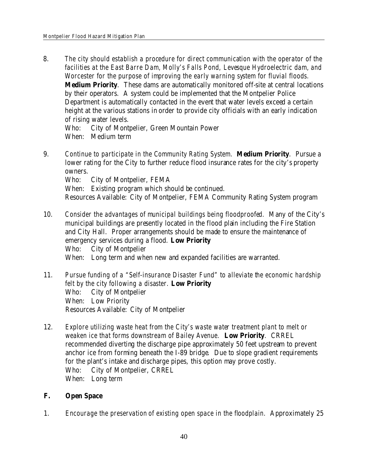8. *The city should establish a procedure for direct communication with the operator of the facilities at the East Barre Dam, Molly's Falls Pond, Levesque Hydroelectric dam, and Worcester for the purpose of improving the early warning system for fluvial floods.* **Medium Priority**. These dams are automatically monitored off-site at central locations by their operators. A system could be implemented that the Montpelier Police Department is automatically contacted in the event that water levels exceed a certain height at the various stations in order to provide city officials with an early indication of rising water levels.

Who: City of Montpelier, Green Mountain Power When: Medium term

9. *Continue to participate in the Community Rating System.* **Medium Priority**. Pursue a lower rating for the City to further reduce flood insurance rates for the city's property owners.

Who: City of Montpelier, FEMA

When: Existing program which should be continued.

Resources Available: City of Montpelier, FEMA Community Rating System program

- 10. *Consider the advantages of municipal buildings being floodproofed.* Many of the City's municipal buildings are presently located in the flood plain including the Fire Station and City Hall. Proper arrangements should be made to ensure the maintenance of emergency services during a flood. **Low Priority** Who: City of Montpelier
	- When: Long term and when new and expanded facilities are warranted.
- 11. *Pursue funding of a "Self-insurance Disaster Fund" to alleviate the economic hardship felt by the city following a disaster.* **Low Priority** Who: City of Montpelier When: Low Priority Resources Available: City of Montpelier
- 12. *Explore utilizing waste heat from the City's waste water treatment plant to melt or weaken ice that forms downstream of Bailey Avenue.* **Low Priority**. CRREL recommended diverting the discharge pipe approximately 50 feet upstream to prevent anchor ice from forming beneath the I-89 bridge. Due to slope gradient requirements for the plant's intake and discharge pipes, this option may prove costly. Who: City of Montpelier, CRREL When: Long term
- **F. Open Space**
- 1. *Encourage the preservation of existing open space in the floodplain.* Approximately 25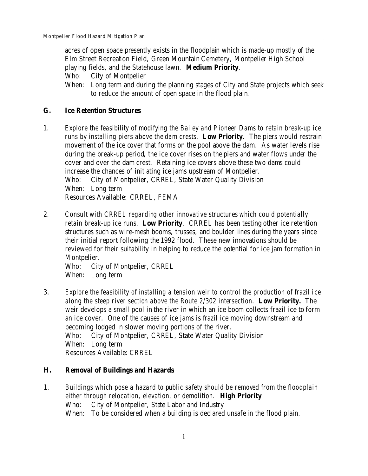acres of open space presently exists in the floodplain which is made-up mostly of the Elm Street Recreation Field, Green Mountain Cemetery, Montpelier High School playing fields, and the Statehouse lawn. **Medium Priority**.

Who: City of Montpelier

When: Long term and during the planning stages of City and State projects which seek to reduce the amount of open space in the flood plain.

- **G. Ice Retention Structures**
- 1. *Explore the feasibility of modifying the Bailey and Pioneer Dams to retain break-up ice runs by installing piers above the dam crests.* **Low Priority**. The piers would restrain movement of the ice cover that forms on the pool above the dam. As water levels rise during the break-up period, the ice cover rises on the piers and water flows under the cover and over the dam crest. Retaining ice covers above these two dams could increase the chances of initiating ice jams upstream of Montpelier. Who: City of Montpelier, CRREL, State Water Quality Division When: Long term Resources Available: CRREL, FEMA
- 2. *Consult with CRREL regarding other innovative structures which could potentially retain break-up ice runs.* **Low Priority**. CRREL has been testing other ice retention structures such as wire-mesh booms, trusses, and boulder lines during the years since their initial report following the 1992 flood. These new innovations should be reviewed for their suitability in helping to reduce the potential for ice jam formation in Montpelier.

Who: City of Montpelier, CRREL When: Long term

- 3. *Explore the feasibility of installing a tension weir to control the production of frazil ice along the steep river section above the Route 2/302 intersection.* **Low Priority.** The weir develops a small pool in the river in which an ice boom collects frazil ice to form an ice cover. One of the causes of ice jams is frazil ice moving downstream and becoming lodged in slower moving portions of the river. Who: City of Montpelier, CRREL, State Water Quality Division When: Long term Resources Available: CRREL
- **H. Removal of Buildings and Hazards**
- 1. *Buildings which pose a hazard to public safety should be removed from the floodplain either through relocation, elevation, or demolition.* **High Priority** Who: City of Montpelier, State Labor and Industry When: To be considered when a building is declared unsafe in the flood plain.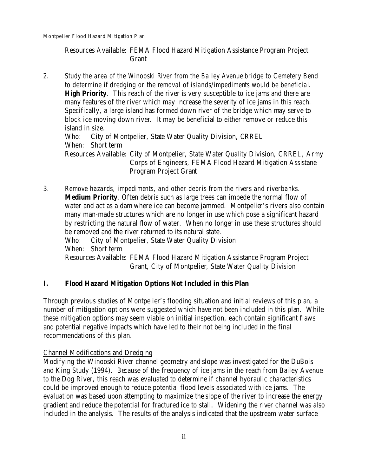Resources Available: FEMA Flood Hazard Mitigation Assistance Program Project Grant

2. *Study the area of the Winooski River from the Bailey Avenue bridge to Cemetery Bend to determine if dredging or the removal of islands/impediments would be beneficial*. **High Priority**. This reach of the river is very susceptible to ice jams and there are many features of the river which may increase the severity of ice jams in this reach. Specifically, a large island has formed down river of the bridge which may serve to block ice moving down river. It may be beneficial to either remove or reduce this island in size. Who: City of Montpelier, State Water Quality Division, CRREL When: Short term

Resources Available: City of Montpelier, State Water Quality Division, CRREL, Army Corps of Engineers, FEMA Flood Hazard Mitigation Assistane Program Project Grant

3. *Remove hazards, impediments, and other debris from the rivers and riverbanks.* **Medium Priority**. Often debris such as large trees can impede the normal flow of water and act as a dam where ice can become jammed. Montpelier's rivers also contain many man-made structures which are no longer in use which pose a significant hazard by restricting the natural flow of water. When no longer in use these structures should be removed and the river returned to its natural state. Who: City of Montpelier, State Water Quality Division When: Short term

Resources Available: FEMA Flood Hazard Mitigation Assistance Program Project Grant, City of Montpelier, State Water Quality Division

**I. Flood Hazard Mitigation Options Not Included in this Plan**

Through previous studies of Montpelier's flooding situation and initial reviews of this plan, a number of mitigation options were suggested which have not been included in this plan. While these mitigation options may seem viable on initial inspection, each contain significant flaws and potential negative impacts which have led to their not being included in the final recommendations of this plan.

# Channel Modifications and Dredging

Modifying the Winooski River channel geometry and slope was investigated for the DuBois and King Study (1994). Because of the frequency of ice jams in the reach from Bailey Avenue to the Dog River, this reach was evaluated to determine if channel hydraulic characteristics could be improved enough to reduce potential flood levels associated with ice jams. The evaluation was based upon attempting to maximize the slope of the river to increase the energy gradient and reduce the potential for fractured ice to stall. Widening the river channel was also included in the analysis. The results of the analysis indicated that the upstream water surface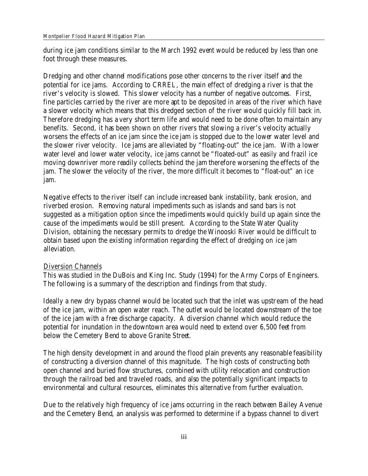during ice jam conditions similar to the March 1992 event would be reduced by less than one foot through these measures.

Dredging and other channel modifications pose other concerns to the river itself and the potential for ice jams. According to CRREL, the main effect of dredging a river is that the river's velocity is slowed. This slower velocity has a number of negative outcomes. First, fine particles carried by the river are more apt to be deposited in areas of the river which have a slower velocity which means that this dredged section of the river would quickly fill back in. Therefore dredging has a very short term life and would need to be done often to maintain any benefits. Second, it has been shown on other rivers that slowing a river's velocity actually worsens the effects of an ice jam since the ice jam is stopped due to the lower water level and the slower river velocity. Ice jams are alleviated by "floating-out" the ice jam. With a lower water level and lower water velocity, ice jams cannot be "floated-out" as easily and frazil ice moving downriver more readily collects behind the jam therefore worsening the effects of the jam. The slower the velocity of the river, the more difficult it becomes to "float-out" an ice jam.

Negative effects to the river itself can include increased bank instability, bank erosion, and riverbed erosion. Removing natural impediments such as islands and sand bars is not suggested as a mitigation option since the impediments would quickly build up again since the cause of the impediments would be still present. According to the State Water Quality Division, obtaining the necessary permits to dredge the Winooski River would be difficult to obtain based upon the existing information regarding the effect of dredging on ice jam alleviation.

# Diversion Channels

This was studied in the DuBois and King Inc. Study (1994) for the Army Corps of Engineers. The following is a summary of the description and findings from that study.

Ideally a new dry bypass channel would be located such that the inlet was upstream of the head of the ice jam, within an open water reach. The outlet would be located downstream of the toe of the ice jam with a free discharge capacity. A diversion channel which would reduce the potential for inundation in the downtown area would need to extend over 6,500 feet from below the Cemetery Bend to above Granite Street.

The high density development in and around the flood plain prevents any reasonable feasibility of constructing a diversion channel of this magnitude. The high costs of constructing both open channel and buried flow structures, combined with utility relocation and construction through the railroad bed and traveled roads, and also the potentially significant impacts to environmental and cultural resources, eliminates this alternative from further evaluation.

Due to the relatively high frequency of ice jams occurring in the reach between Bailey Avenue and the Cemetery Bend, an analysis was performed to determine if a bypass channel to divert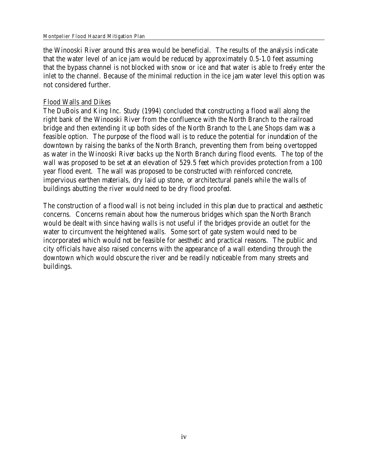#### Montpelier Flood Hazard Mitigation Plan

the Winooski River around this area would be beneficial. The results of the analysis indicate that the water level of an ice jam would be reduced by approximately 0.5-1.0 feet assuming that the bypass channel is not blocked with snow or ice and that water is able to freely enter the inlet to the channel. Because of the minimal reduction in the ice jam water level this option was not considered further.

# Flood Walls and Dikes

The DuBois and King Inc. Study (1994) concluded that constructing a flood wall along the right bank of the Winooski River from the confluence with the North Branch to the railroad bridge and then extending it up both sides of the North Branch to the Lane Shops dam was a feasible option. The purpose of the flood wall is to reduce the potential for inundation of the downtown by raising the banks of the North Branch, preventing them from being overtopped as water in the Winooski River backs up the North Branch during flood events. The top of the wall was proposed to be set at an elevation of 529.5 feet which provides protection from a 100 year flood event. The wall was proposed to be constructed with reinforced concrete, impervious earthen materials, dry laid up stone, or architectural panels while the walls of buildings abutting the river would need to be dry flood proofed.

The construction of a flood wall is not being included in this plan due to practical and aesthetic concerns. Concerns remain about how the numerous bridges which span the North Branch would be dealt with since having walls is not useful if the bridges provide an outlet for the water to circumvent the heightened walls. Some sort of gate system would need to be incorporated which would not be feasible for aesthetic and practical reasons. The public and city officials have also raised concerns with the appearance of a wall extending through the downtown which would obscure the river and be readily noticeable from many streets and buildings.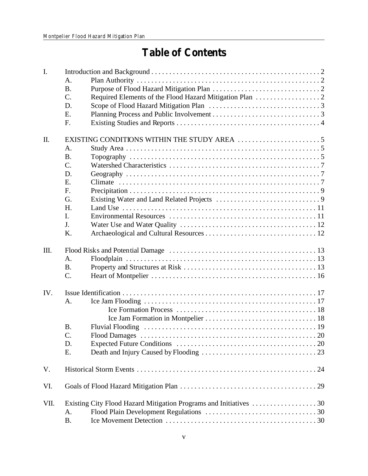# **Table of Contents**

| A.<br><b>B.</b><br>C.<br>D.<br>E.<br>F.<br>Π.<br>A.<br><b>B.</b><br>$C_{\cdot}$<br>D.<br>E.<br>F.<br>G.<br>H.<br>$\mathbf{I}$ .<br>J.<br>K.<br>III.<br>$A_{\cdot}$<br><b>B.</b><br>$C$ .<br>IV.<br>A. |
|-------------------------------------------------------------------------------------------------------------------------------------------------------------------------------------------------------|
|                                                                                                                                                                                                       |
|                                                                                                                                                                                                       |
|                                                                                                                                                                                                       |
|                                                                                                                                                                                                       |
|                                                                                                                                                                                                       |
|                                                                                                                                                                                                       |
|                                                                                                                                                                                                       |
|                                                                                                                                                                                                       |
|                                                                                                                                                                                                       |
|                                                                                                                                                                                                       |
|                                                                                                                                                                                                       |
|                                                                                                                                                                                                       |
|                                                                                                                                                                                                       |
|                                                                                                                                                                                                       |
|                                                                                                                                                                                                       |
|                                                                                                                                                                                                       |
|                                                                                                                                                                                                       |
|                                                                                                                                                                                                       |
|                                                                                                                                                                                                       |
|                                                                                                                                                                                                       |
|                                                                                                                                                                                                       |
|                                                                                                                                                                                                       |
|                                                                                                                                                                                                       |
|                                                                                                                                                                                                       |
|                                                                                                                                                                                                       |
|                                                                                                                                                                                                       |
|                                                                                                                                                                                                       |
|                                                                                                                                                                                                       |
|                                                                                                                                                                                                       |
| <b>B.</b>                                                                                                                                                                                             |
| $\mathcal{C}$ .                                                                                                                                                                                       |
| D.                                                                                                                                                                                                    |
| E.                                                                                                                                                                                                    |
| V.                                                                                                                                                                                                    |
| VI.                                                                                                                                                                                                   |
| VII.                                                                                                                                                                                                  |
| A.                                                                                                                                                                                                    |
| <b>B.</b>                                                                                                                                                                                             |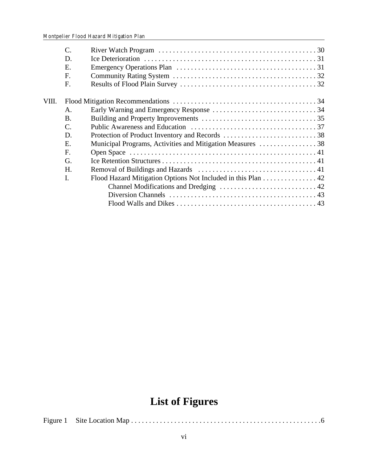|       | C.             |                                                              |  |
|-------|----------------|--------------------------------------------------------------|--|
|       | D.             |                                                              |  |
|       | E.             |                                                              |  |
|       | F.             |                                                              |  |
|       | F.             |                                                              |  |
| VIII. |                |                                                              |  |
|       | $\mathsf{A}$ . |                                                              |  |
|       | B.             |                                                              |  |
|       | C.             |                                                              |  |
|       | D.             |                                                              |  |
|       | E.             | Municipal Programs, Activities and Mitigation Measures 38    |  |
|       | F.             |                                                              |  |
|       | G.             |                                                              |  |
|       | H.             |                                                              |  |
|       | I.             | Flood Hazard Mitigation Options Not Included in this Plan 42 |  |
|       |                |                                                              |  |
|       |                |                                                              |  |
|       |                |                                                              |  |
|       |                |                                                              |  |

# **List of Figures**

Figure 1 Site Location Map . . . . . . . . . . . . . . . . . . . . . . . . . . . . . . . . . . . . . . . . . . . . . . . . . . . . .6